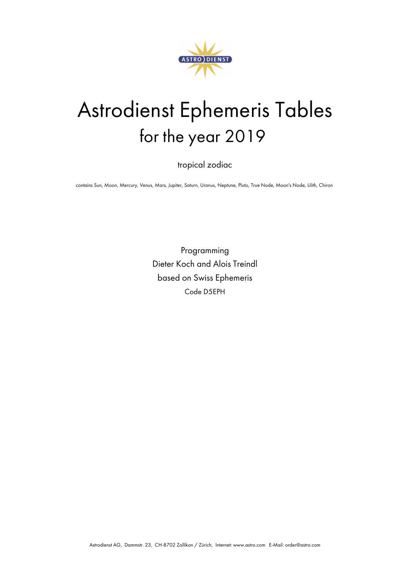

# Astrodienst Ephemeris Tables for the year 2019

tropical zodiac

contains Sun, Moon, Mercury, Venus, Mars, Jupiter, Saturn, Uranus, Neptune, Pluto, True Node, Moon's Node, Lilith, Chiron

Programming Dieter Koch and Alois Treindl based on Swiss Ephemeris Code D5EPH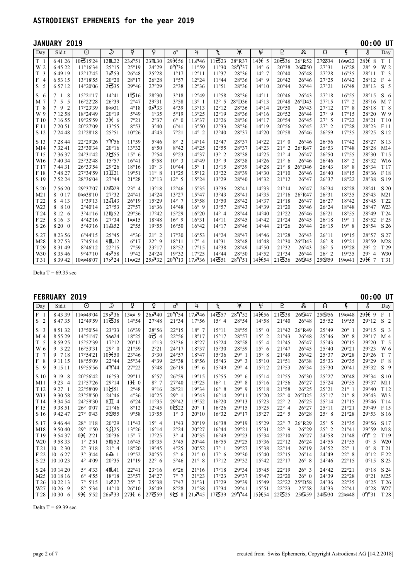|                                                                          | JANUARY 2019                                                                                     |                                                                                                |                                                                              |                                                                                     |                                                                                                      |                                                                                            |                                                                               |                                                                               |                                                             |                                                                               |                                                                                                                   |                                                                                                            |                                                                                                 |                                                                           | 00:00 UT                                                               |                                                                           |
|--------------------------------------------------------------------------|--------------------------------------------------------------------------------------------------|------------------------------------------------------------------------------------------------|------------------------------------------------------------------------------|-------------------------------------------------------------------------------------|------------------------------------------------------------------------------------------------------|--------------------------------------------------------------------------------------------|-------------------------------------------------------------------------------|-------------------------------------------------------------------------------|-------------------------------------------------------------|-------------------------------------------------------------------------------|-------------------------------------------------------------------------------------------------------------------|------------------------------------------------------------------------------------------------------------|-------------------------------------------------------------------------------------------------|---------------------------------------------------------------------------|------------------------------------------------------------------------|---------------------------------------------------------------------------|
| Day                                                                      | Sid.t                                                                                            | $\overline{\odot}$                                                                             | ك                                                                            | ¥                                                                                   | $\overline{Q}$                                                                                       | ♂                                                                                          | $\overline{4}$                                                                | ħ                                                                             | )†्र                                                        | $\overline{4}$                                                                | P                                                                                                                 | $\overline{\mathcal{S}}$                                                                                   | Ω                                                                                               | Ç                                                                         | Š                                                                      | Day                                                                       |
| T <sub>1</sub><br>W 2<br>$\overline{3}$<br>T                             | 64126<br>6 45 22<br>64919                                                                        | 10815'24<br>$11^{\circ}16'34$<br>12°17'45                                                      | 12m22<br>25°15<br>7,753                                                      | $23 \times 51$<br>25°19<br>$26^{\circ}48$                                           | 23M30<br>24°29<br>25°28                                                                              | 29 <sub>H56</sub><br>$0\gamma$ 36<br>1°17                                                  | $11\overline{5}46$<br>11°59<br>12°11                                          | $11\overline{6}23$<br>11°30<br>11°37                                          | 28°R37<br>28Y37<br>28°36                                    | $14H$ 5<br>$14^{\circ}$ 6<br>$14^{\circ}$ 7                                   | $20 = 36$<br>20°38<br>20°40                                                                                       | 26°R52<br>269550<br>$26^{\circ}48$                                                                         | 27534<br>27°31<br>27°28                                                                         | $16 \approx 22$<br>16°28<br>16°35                                         | 28H<br>8<br>$28^{\circ}$<br>9<br>28°11                                 | T <sub>1</sub><br>W 2<br>T <sub>3</sub>                                   |
| $\overline{4}$<br>F<br>5<br>S                                            | 6 5 3 1 5<br>6 57 12                                                                             | 13°18'55<br>14°20'06                                                                           | 20°20<br>2535                                                                | 28°17<br>29°46                                                                      | $26^{\circ}28$<br>27°29                                                                              | 1°57<br>2°38                                                                               | 12°24<br>12°36                                                                | 11°44<br>11°51                                                                | 28°36<br>28°36                                              | $14^{\circ}$ 9<br>$14^{\circ}10$                                              | 20°42<br>20°44                                                                                                    | $26^{\circ}46$<br>$26^{\circ}44$                                                                           | 27°25<br>27°21                                                                                  | 16°42<br>$16^{\circ}48$                                                   | 28°12<br>28°13                                                         | $\overline{4}$<br>F<br>S<br>$\overline{5}$                                |
| S<br>-6<br>M 7<br>8<br>T.<br>W 9                                         | 8<br>-1<br>5<br>7<br>5<br>-9<br>2<br>7<br>7 12 58                                                | 15°21'17<br>16°22'28<br>17°23'39<br>18°24'49                                                   | $14^{\circ}41$<br>26°39<br>$8 \approx 31$<br>$20^{\circ}19$                  | 1516<br>2°47<br>$4^{\circ}18$<br>5°49                                               | 28°30<br>29°31<br>$0 \times 33$<br>1°35                                                              | 3°18<br>3°58<br>4°39<br>$5^{\circ}19$                                                      | 12°49<br>$13^{\circ}$ 1<br>13°13<br>13°25                                     | 11°58<br>$12^{\circ}$ 5<br>12°12<br>12°19                                     | 28°36<br>28°D36<br>28°36<br>28°36                           | $14^{\circ}11$<br>$14^{\circ}13$<br>$14^{\circ}14$<br>$14^{\circ}16$          | 20°46<br>20°48<br>20°50<br>20°52                                                                                  | $26^{\circ}43$<br>$26^{\circ}D43$<br>$26^{\circ}43$<br>$26^{\circ}44$                                      | 27°18<br>27°15<br>27°12<br>$27^\circ$ 9                                                         | 16°55<br>$17^\circ$ 2<br>$17^\circ$ 8<br>17°15                            | 28°15<br>28°16<br>28°18<br>28°20                                       | S <sub>6</sub><br>M 7<br>T <sub>8</sub><br>W 9                            |
| T <sub>10</sub><br>F <sub>11</sub><br>S 12                               | 7 16 55<br>7 20 51<br>7 24 48                                                                    | 19°25'59<br>20°27'09<br>21°28'18                                                               | $2H_6$<br>13°55<br>25°51                                                     | 7°21<br>8°53<br>10°26                                                               | 2°37<br>3°40<br>4°43                                                                                 | $6^\circ$ 0<br>6°41<br>7°21                                                                | 13°37<br>13°50<br>$14^{\circ}$ 2                                              | 12°26<br>12°33<br>12°40                                                       | 28°36<br>28°36<br>28°37                                     | $14^{\circ}17$<br>$14^{\circ}19$<br>14°20                                     | 20°54<br>20°56<br>20°58                                                                                           | $26^{\circ}45$<br>$26^{\circ}45$<br>$26^{\circ}46$                                                         | $27^\circ$ 5<br>$27^\circ$ 2<br>26°59                                                           | 17°22<br>17°28<br>17°35                                                   | 28°21<br>28°23<br>28°25                                                | T 10<br>F 11<br>S 12                                                      |
| S 13<br>M14<br>T <sub>15</sub><br>W16<br>T <sub>17</sub><br>F 18<br>S 19 | 7 28 44<br>7 3 2 4 1<br>7 3 6 3 7<br>74034<br>74431<br>74827<br>7 52 24                          | 22°29'26<br>23°30'34<br>24°31'42<br>25°32'48<br>26°33'54<br>27°34'59<br>28°36'04               | 7Y56<br>$20^{\circ}16$<br>2855<br>15°57<br>29°26<br>$13\Pi21$<br>27°44       | 11°59<br>13°32<br>$15^{\circ}$ 6<br>16°41<br>18°16<br>19°51<br>21°28                | $5^{\circ}46$<br>$6^{\circ}50$<br>7°54<br>8°58<br>$10^{\circ}$ 3<br>$11^{\circ}$ 8<br>$12^{\circ}13$ | $8^\circ$ 2<br>8°42<br>9°23<br>$10^{\circ}$ 3<br>$10^{\circ}44$<br>11°25<br>$12^{\circ}$ 5 | $14^{\circ}14$<br>14°25<br>14°37<br>14°49<br>$15^{\circ}$ 1<br>15°12<br>15°24 | 12°47<br>12°55<br>$13^{\circ}$ 2<br>$13^{\circ}$ 9<br>13°15<br>13°22<br>13°29 | 28°37<br>28°37<br>28°38<br>28°38<br>28°39<br>28°39<br>28°40 | 14°22<br>14°23<br>14°25<br>$14^{\circ}26$<br>$14^{\circ}28$<br>14°30<br>14°32 | $21^{\circ}$ 0<br>$21^{\circ}$<br>2<br>$21^{\circ}$ 4<br>$21^{\circ}$<br>6<br>$21^{\circ}$<br>8<br>21°10<br>21°12 | $26^{\circ}46$<br>26°R47<br>$26^{\circ}47$<br>$26^{\circ}46$<br>$26^{\circ}D46$<br>$26^{\circ}46$<br>26°47 | 26°56<br>$26^{\circ}53$<br>26°50<br>$26^{\circ}46$<br>$26^{\circ}43$<br>$26^{\circ}40$<br>26°37 | 17°42<br>17°48<br>17°55<br>$18^\circ$ 2<br>$18^\circ$ 8<br>18°15<br>18°22 | 28°27<br>28°28<br>28°30<br>28°32<br>28°34<br>28°36<br>28°38            | S 13<br>M14<br>T <sub>15</sub><br>W16<br>T <sub>17</sub><br>F 18<br>S 19  |
| S 20<br>M21<br>T 22<br>W <sub>23</sub><br>T 24<br>F 25<br>S 26           | 7 56 20<br>8 0 17<br>8<br>4 1 3<br>8<br>8 1 0<br>8 1 2<br>6<br>8 16 3<br>8 2 0<br>$\overline{0}$ | 29°37'07<br>$0 \approx 38' 10$<br>1°39'13<br>$2^{\circ}40'14$<br>3°41'16<br>4°42'16<br>5°43'16 | 12529<br>27°32<br>125243<br>27°53<br>12m52<br>27°34<br>$11 \triangle 52$     | $23^\circ$ 4<br>$24^{\circ}41$<br>26°19<br>27°57<br>29°36<br>$1 \approx 15$<br>2°55 | $13^{\circ}18$<br>$14^{\circ}24$<br>15°29<br>16°36<br>$17^{\circ}42$<br>18°48<br>19°55               | 12°46<br>13°27<br>$14^{\circ}$ 7<br>$14^{\circ}48$<br>15°29<br>$16^{\circ}$ 9<br>16°50     | 15°35<br>15°47<br>15°58<br>$16^{\circ}$ 9<br>$16^{\circ}20$<br>16°31<br>16°42 | 13°36<br>13°43<br>13°50<br>13°57<br>$14^\circ$ 4<br>14°11<br>14°17            | 28°41<br>28°41<br>28°42<br>28°43<br>28°44<br>28°45<br>28°46 | 14°33<br>14°35<br>14°37<br>14°39<br>$14^{\circ}40$<br>$14^{\circ}42$<br>14°44 | 21°14<br>21°16<br>21°18<br>21°20<br>21°22<br>21°24<br>21°26                                                       | $26^{\circ}47$<br>26°R47<br>$26^{\circ}47$<br>$26^{\circ}46$<br>$26^{\circ}46$<br>$26^{\circ}45$<br>26°44  | $26^{\circ}34$<br>26°31<br>26°27<br>26°24<br>$26^{\circ}21$<br>$26^{\circ}18$<br>$26^{\circ}15$ | 18°28<br>18°35<br>18°42<br>18°48<br>18°55<br>19°1<br>19°8                 | 28°41<br>28°43<br>28°45<br>28°47<br>28°49<br>28°52<br>28°54            | S 20<br>M21<br>T 22<br>W <sub>23</sub><br>T <sub>24</sub><br>F 25<br>S 26 |
| S 27<br>M28<br>T <sub>29</sub><br>W <sub>30</sub><br>T 31                | 8 2 3 5 6<br>8 27 53<br>8 3 1 4 9<br>8 3 5 4 6<br>8 3 9 4 2                                      | $6^{\circ}44'15$<br>7°45'14<br>8°46'12<br>9°47'10<br>$10 \approx 48'07$                        | 25°45<br>9 <sub>m.12</sub><br>$22^{\circ}15$<br>$4x^{7}58$<br>$17 \times 24$ | 4°36<br>$6^{\circ}17$<br>7°59<br>9°42<br>$11 \approx 25$                            | $21^\circ$ 2<br>$22^{\circ}$ 9<br>23°17<br>$24^{\circ}24$<br>$25\sqrt{32}$                           | 17°30<br>18°11<br>18°52<br>19°32<br>$20$ $Y$ 13                                            | 16°53<br>$17^\circ$ 4<br>17°15<br>17°25<br>$17\cancel{7}36$                   | 14°24<br>14°31<br>14°38<br>$14^{\circ}44$<br>14351                            | 28°47<br>28°48<br>28°49<br>28°50<br>28Y51                   | $14^{\circ}46$<br>$14^{\circ}48$<br>$14^{\circ}50$<br>14°52<br>$14 + 54$      | 21°28<br>21°30<br>21°32<br>21°34<br>$21\overline{6}36$                                                            | $26^{\circ}43$<br>26°D43<br>$26^{\circ}43$<br>$26^{\circ}44$<br>269345                                     | $26^{\circ}11$<br>$26^\circ$ 8<br>$26^{\circ}$ 5<br>$26^\circ$ 2<br>259559                      | 19°15<br>19°21<br>19°28<br>19°35<br>$192$ 41                              | 28°57<br>28°59<br>$29^\circ$ 2<br>$29^\circ$<br>$\overline{4}$<br>29H7 | S 27<br>M28<br>T <sub>29</sub><br>W <sub>30</sub><br>T 31                 |

Delta T =  $69.35$  sec

| $00:00$ UT |
|------------|
|            |

| Day             | Sid.t                   | $\odot$                | ♪                          | ₫              | ¥                | ♂              | 4              | $\overline{\hbar}$ | Ж                            | ₩                  | P                              | ጥ                | Ω              | Ç                  | š             | Day             |
|-----------------|-------------------------|------------------------|----------------------------|----------------|------------------|----------------|----------------|--------------------|------------------------------|--------------------|--------------------------------|------------------|----------------|--------------------|---------------|-----------------|
| F <sub>1</sub>  | 8 43 39                 | $1 \approx 49'04$      | 29×36                      | $13 \approx 9$ | $26\cancel{5}40$ | 20Y54          | $17 \times 46$ | 14357              | 28Y52                        | 14 <b>)</b> (56    | $21$ ろ38                       | 269347           | 250556         | 192248             | 29H9          | $\mathbf F$     |
| S <sub>2</sub>  | 8 47 35                 | 12°49'59               | $11\overline{6}38$         | 14°54          | 27°48            | 21°34          | 17°56          | $15^{\circ}$ 4     | 28°54                        | 14°58              | 21°40                          | $26^{\circ}48$   | 25°52          | 19°55              | 29°12         | S <sub>2</sub>  |
| S <sub>3</sub>  | 8 51 32                 | 13°50'54               | 23°33                      | 16°39          | 28°56            | $22^{\circ}15$ | $18^{\circ}$ 7 | 15°11              | 28°55                        | $15^{\circ}$ 0     | 21°42                          | 26°R49           | 25°49          | $20^{\circ}$ 1     | 29°15         | S <sub>3</sub>  |
| M 4             | 8 5 5 2 9               | 14°51'47               | $5 \approx 24$             | 18°25          | 03 4             | 22°56          | 18°17          | 15°17              | 28°57                        | $15^{\circ}$ 2     | 21°43                          | $26^{\circ}48$   | $25^{\circ}46$ | $20^\circ$ 8       | 29°17         | M 4             |
| T <sub>5</sub>  | 8 59 25                 | 15°52'39               | 17°12                      | $20^{\circ}12$ | 1°13             | 23°36          | 18°27          | 15°24              | 28°58                        | $15^{\circ}$ 4     | 21°45                          | $26^{\circ}47$   | 25°43          | $20^{\circ}15$     | 29°20         | T <sub>5</sub>  |
| W 6             | 3 2 2<br>9              | $16^{\circ}53'31$      | $29^\circ$ 0               | 21°59          | 2°21             | $24^{\circ}17$ | 18°37          | 15°30              | 28°59                        | $15^{\circ}$<br>-6 | 21°47                          | $26^{\circ}45$   | $25^{\circ}40$ | 20°21              | 29°23         | W 6             |
| $\mathbf T$     | 9 7 18                  | 17°54'21               | 10 <b></b> <del>X</del> 50 | 23°46          | 3°30             | 24°57          | 18°47          | 15°36              | $29^\circ$ 1                 | $15^{\circ}$ 8     | 21°49                          | $26^{\circ}42$   | 25°37          | 20°28              | 29°26         | $\overline{7}$  |
| F<br>8          | 9 11 15                 | 18°55'09               | $22^{\circ}44$             | 25°34          | 4°39             | 25°38          | 18°56          | 15°43              | $29^\circ$ 3                 | 15°10              | 21°51                          | 26°38            | 25°33          | 20°35              | 29°29         | F 8             |
| S <sub>9</sub>  | 9 15 11                 | 19°55'56               | $4\gamma$ 44               | 27°22          | $5^{\circ}48$    | $26^{\circ}19$ | 19°6           | 15°49              | $29^\circ$<br>$\overline{4}$ | 15°12              | 21°53                          | 26°34            | 25°30          | $20^{\circ}41$     | 29°32         | S <sub>9</sub>  |
| S 10            | 9 1 9<br>8              | 20°56'42               | 16°53                      | 29°11          | 6°57             | 26°59          | 19°15          | 15°55              | $29^\circ$<br>-6             | 15°14              | 21°55                          | 26°30            | 25°27          | 20°48              | 29°34         | S 10            |
| M11             | 9 2 3<br>$\overline{4}$ | 21°57'26               | 29°14                      | $1H_0$         | $8^\circ$ 7      | 27°40          | 19°25          | $16^{\circ}$ 1     | $29^\circ$<br>8              | $15^{\circ}16$     | 21°56                          | 26°27            | 25°24          | 20°55              | 29°37         | M11             |
| T <sub>12</sub> | 9 2 7                   | 22°58'09               | 11851                      | 2°48           | 9°16             | 28°21          | 19°34          | $16^\circ$ 8       | 29°9                         | $15^{\circ}18$     | 21°58                          | $26^{\circ}25$   | 25°21          | $21^\circ$ 1       | 29°40         | T 12            |
| W13             | 9 30 58                 | 23°58'50               | $24^{\circ}46$             | 4°36           | $10^{\circ}25$   | $29^\circ$ 1   | 19°43          | 16°14              | 29°11                        | 15°20              | $22^{\circ}$ 0                 | $26^{\circ}$ D25 | 25°17          | $21^{\circ}$ 8     | 29°43         | W13             |
| T 14            | 9 34 54                 | 24°59'30               | $8\Pi$ 4                   | $6^{\circ}24$  | 11°35            | 29°42          | 19°52          | 16°20              | 29°13                        | 15°23              | $22^{\circ}$<br>$\overline{2}$ | 26°25            | $25^{\circ}14$ | 21°15              | 29°46         | T <sub>14</sub> |
| F 15            | 9 38 51                 | $26^{\circ}$ 0'07      | 21°46                      | 8°12           | 12°45            | 0822           | $20^{\circ}$ 1 | 16°26              | 29°15                        | 15°25              | $22^{\circ}$<br>$\overline{4}$ | 26°27            | $25^{\circ}11$ | 21°21              | 29°49         | F 15            |
| S 16            | 9 42 47                 | $27^{\circ}$ 0'43      | 59555                      | 9°58           | 13°55            | $1^\circ$ 3    | $20^{\circ}10$ | 16°32              | 29°17                        | 15°27              | $22^{\circ}$<br>.5             | 26°28            | $25^{\circ}$ 8 | 21°28              | 29°53         | S 16            |
| S 17            | 9 4 6 4 4               | $28^{\circ}$<br>1'18   | 20°29                      | 11°43          | $15^{\circ}$ 4   | 1°43           | 20°19          | 16°38              | 29°19                        | 15°29              | $22^{\circ}$<br>7              | $26^{\circ}R29$  | $25^{\circ}$ 5 | 21°35              | 29°56         | S 17            |
| M18             | 9 50 40                 | $29^\circ$<br>1'50     | 56225                      | 13°26          | 16°14            | 2°24           | 20°27          | 16°44              | 29°21                        | 15°31              | $22^{\circ}$ 9                 | 26°29            | $25^{\circ}$ 2 | 21°41              | 29°59         | M18             |
| T <sub>19</sub> | 9 54 37                 | 0 <sup>4</sup><br>2'21 | 20°36                      | $15^{\circ}$ 7 | 17°25            | $3^\circ$ 4    | 20°35          | 16°49              | 29°23                        | 15°34              | $22^{\circ}10$                 | 26°27            | 24°58          | 21°48              | $0^{\circ}$ 2 | T <sub>19</sub> |
| W <sub>20</sub> | 95833                   | 2'51<br>$1^{\circ}$    | $5$ Mp 52                  | 16°45          | 18°35            | 3°45           | $20^{\circ}44$ | 16°55              | 29°25                        | 15°36              | $22^{\circ}12$                 | 26°24            | 24°55          | 21°55              | $0^{\circ}$ 5 | W <sub>20</sub> |
| T <sub>21</sub> | 10 2 30                 | 3'18<br>$2^{\circ}$    | $21^{\circ}$ 4             | 18°20          | 19°45            | 4°25           | 20°52          | $17^\circ$ 1       | 29°27                        | 15°38              | $22^{\circ}14$                 | 26°19            | 24°52          | $22^{\circ}$       | $0^{\circ}$ 8 | T21             |
| F 22            | 6 2 7<br>10             | $3^{\circ}$ 3'44       | $6\Omega$ 1                | 19°52          | 20°55            | $5^\circ$ 6    | $21^{\circ}$ 0 | $17^\circ$ 6       | 29°30                        | 15°40              | $22^{\circ}15$                 | $26^{\circ}14$   | 24°49          | $22^{\circ}$<br>-8 | $0^{\circ}12$ | F 22            |
| S 23            | 10 10 23                | 4° 4'09                | 20°35                      | 21°19          | $22^{\circ}$ 6   | $5^{\circ}46$  | $21^{\circ}$ 8 | 17°12              | 29°32                        | 15°42              | 22°17                          | $26^\circ$ 8     | 24°46          | $22^{\circ}15$     | 0°15          | S 23            |
| S 24            | 10 14 20                | $5^{\circ}$ 4'33       | $4m$ .41                   | $22^{\circ}41$ | 23°16            | 6°26           | 21°16          | 17°18              | 29°34                        | 15°45              | 22°19                          | $26^\circ$ 3     | 24°42          | 22°21              | $0^{\circ}18$ | S 24            |
| M25             | 10 18 16                | $6^{\circ}$ 4'55       | 18°18                      | 23°57          | 24°27            | $7^\circ$ 7    | 21°23          | 17°23              | 29°37                        | 15°47              | $22^{\circ}20$                 | $26^{\circ}$ 0   | 24°39          | 22°28              | 0°21          | M25             |
| T <sub>26</sub> | 10 22 13                | 5'15<br>$7^\circ$      | $1 - 727$                  | $25^{\circ}$ 7 | 25°38            | 7°47           | 21°31          | 17°29              | 29°39                        | 15°49              | 22°22                          | 25°D58           | 24°36          | 22°35              | 0°25          | T <sub>26</sub> |
| W <sub>27</sub> | 10 26 9                 | $8^{\circ}$<br>5'34    | $14^{\circ}10$             | $26^{\circ}10$ | 26°49            | 8°28           | 21°38          | 17°34              | 29°41                        | 15°51              | $22^{\circ}23$                 | 25°58            | 24°33          | $22^{\circ}41$     | 0°28          | W27             |
| T 28            | 10306                   | 9H 5'52                | $26 \times 33$             | $27H_6$        | 27359            | ୨୪<br>8        | $21 \times 45$ | 17339              | 29Y44                        | $15 + 54$          | $22\overline{6}25$             | 259559           | 24530          | $22 \times 48$     | 0Y31          | T <sub>28</sub> |

Delta T =  $69.39$  sec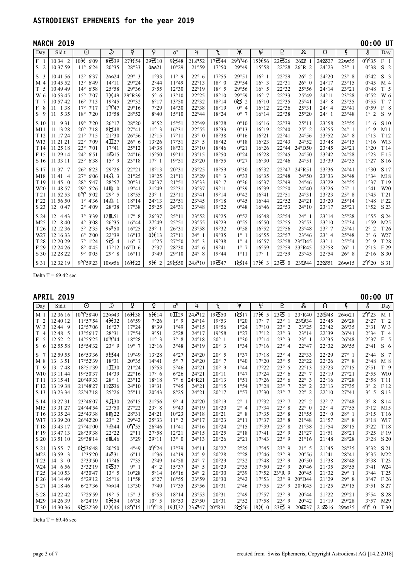|                                                                                                             | <b>MARCH 2019</b>                                                                                         |                                                                                                                                                              |                                                                                                             |                                                                                                                      |                                                                                        |                                                                      |                                                                                                                   |                                                                           |                                                                                          |                                                                                                                   |                                                                                  |                                                                                                  |                                                                                                                   |                                                                                                       | 00:00 UT                                                                                                                           |                                                                                                     |
|-------------------------------------------------------------------------------------------------------------|-----------------------------------------------------------------------------------------------------------|--------------------------------------------------------------------------------------------------------------------------------------------------------------|-------------------------------------------------------------------------------------------------------------|----------------------------------------------------------------------------------------------------------------------|----------------------------------------------------------------------------------------|----------------------------------------------------------------------|-------------------------------------------------------------------------------------------------------------------|---------------------------------------------------------------------------|------------------------------------------------------------------------------------------|-------------------------------------------------------------------------------------------------------------------|----------------------------------------------------------------------------------|--------------------------------------------------------------------------------------------------|-------------------------------------------------------------------------------------------------------------------|-------------------------------------------------------------------------------------------------------|------------------------------------------------------------------------------------------------------------------------------------|-----------------------------------------------------------------------------------------------------|
| Day                                                                                                         | Sid.t                                                                                                     | $\overline{\odot}$                                                                                                                                           | ك                                                                                                           | ਖ਼                                                                                                                   | ò                                                                                      | $\overline{d}$                                                       | 4                                                                                                                 | $\overline{\hbar}$                                                        | )†়(                                                                                     | ₩                                                                                                                 | P                                                                                | $\overline{\Omega}$                                                                              | $\Omega$                                                                                                          | Ç                                                                                                     | Š                                                                                                                                  | Day                                                                                                 |
| F <sub>1</sub><br>S <sub>2</sub>                                                                            | 10 34 2<br>10 37 59                                                                                       | 10 <sub>H</sub> 6'09<br>$11^{\circ} 6'24$                                                                                                                    | 8339<br>20°35                                                                                               | 27 <b>H</b> 54<br>28°33                                                                                              | 29310<br>$0 \approx 21$                                                                | 9848<br>10°29                                                        | $21 \times 52$<br>21°59                                                                                           | 17344<br>17°50                                                            | 29Y46<br>29°49                                                                           | $15 + 56$<br>15°58                                                                                                | 22326<br>22°28                                                                   | $26\degree$<br>$26^{\circ}R$ 2                                                                   | 24527<br>24°23                                                                                                    | 22 $\approx$ 55<br>$23^\circ$ 1                                                                       | 0Y35<br>0°38                                                                                                                       | $F_1$<br>S <sub>2</sub>                                                                             |
| S <sub>3</sub><br>M 4<br>T <sub>5</sub><br>W 6<br>$\mathbf T$<br>$\overline{7}$<br>F<br>8<br>S <sub>9</sub> | 10 41 56<br>10 45 52<br>10 49 49<br>10 53 45<br>10 57 42<br>1 3 8<br>11<br>5 3 5<br>11                    | $12^{\circ}$ 6'37<br>$13^{\circ} 6'49$<br>$14^{\circ} 6'58$<br>$15^{\circ}$ 7'07<br>$16^{\circ}$ 7'13<br>$17^\circ$<br>7'17<br>$18^{\circ}$<br>7'20          | $2 \infty 24$<br>$14^{\circ}11$<br>25°58<br>$7$ <sup><math>+49</math></sup><br>19°45<br>$1$ $Y$ 47<br>13°58 | $29^\circ$ 3<br>29°24<br>29°36<br>29°R39<br>29°32<br>29°16<br>28°52                                                  | 1°33<br>$2^{\circ}44$<br>3°55<br>$5^\circ$ 6<br>$6^{\circ}17$<br>7°29<br>$8^{\circ}40$ | $11^{\circ}9$<br>11°49<br>12°30<br>13°10<br>13°50<br>14°30<br>15°10  | $22^{\circ}$ 6<br>$22^{\circ}13$<br>$22^{\circ}19$<br>22°25<br>22°32<br>22°38<br>22°44                            | 17°55<br>$18^\circ$ 0<br>$18^\circ$ 5<br>18°10<br>18°14<br>18°19<br>18°24 | 29°51<br>29°54<br>29°56<br>29°59<br>0 $82$<br>$0^{\circ}$ 4<br>$0^{\circ}$ 7             | $16^{\circ}$ 1<br>$16^{\circ}$ 3<br>$16^{\circ}$ 5<br>$16^{\circ}$ 7<br>$16^{\circ}10$<br>$16^{\circ}12$<br>16°14 | 22°29<br>22°31<br>22°32<br>22°33<br>22°35<br>22°36<br>22°38                      | $26^\circ$ 2<br>$26^{\circ}$ 0<br>25°56<br>25°49<br>25°41<br>25°31<br>25°20                      | 24°20<br>$24^{\circ}17$<br>$24^{\circ}14$<br>$24^{\circ}11$<br>$24^{\circ}$ 8<br>$24^{\circ}$ 4<br>$24^{\circ}$ 1 | $23^\circ$ 8<br>23°15<br>23°21<br>23°28<br>23°35<br>23°41<br>23°48                                    | 0°42<br>0°45<br>0°48<br>0°52<br>0°55<br>0°59<br>$1^\circ 2$                                                                        | S <sub>3</sub><br>M <sub>4</sub><br>T <sub>5</sub><br>W 6<br>T <sub>7</sub><br>F8<br>S <sub>9</sub> |
| S 10<br>M11<br>T <sub>12</sub><br>W13<br>T <sub>14</sub><br>F 15<br>S 16                                    | 9 3 1<br>11<br>11 13 28<br>11 17 24<br>11 21 21<br>11 25 18<br>11 29 14<br>11 33 11                       | $19^\circ$<br>7'20<br>$20^{\circ}$<br>7'18<br>7'15<br>$21^{\circ}$<br>$22^{\circ}$<br>7'09<br>$23^{\circ}$<br>7'01<br>$24^{\circ} 6'51$<br>$25^{\circ}$ 6'38 | $26^{\circ}17$<br>8 $848$<br>21°30<br>$4\Pi$ 27<br>17°41<br>$1\textcircled{5}15$<br>$15^{\circ}$ 9          | 28°20<br>27°41<br>26°56<br>$26^{\circ}$ 6<br>$25^{\circ}12$<br>$24^{\circ}16$<br>23°18                               | 9°52<br>$11^{\circ}$ 3<br>12°15<br>13°26<br>14°38<br>15°50<br>$17^\circ$ 1             | 15°51<br>16°31<br>17°11<br>17°51<br>18°31<br>19°11<br>19°51          | 22°49<br>22°55<br>$23^\circ$ 0<br>$23^\circ$ 5<br>23°10<br>23°15<br>23°20                                         | 18°28<br>18°33<br>18°38<br>18°42<br>18°46<br>18°50<br>18°55               | $0^{\circ}10$<br>$0^{\circ}13$<br>$0^{\circ}16$<br>$0^{\circ}18$<br>0°21<br>0°24<br>0°27 | 16°16<br>16°19<br>16°21<br>16°23<br>16°26<br>16°28<br>16°30                                                       | 22°39<br>22°40<br>22°41<br>22°43<br>22°44<br>22°45<br>22°46                      | $25^{\circ}11$<br>$25^\circ$ 2<br>$24^{\circ}56$<br>$24^{\circ}52$<br>24°D50<br>24°50<br>24°51   | 23°58<br>23°55<br>23°52<br>23°48<br>23°45<br>23°42<br>23°39                                                       | 23°55<br>$24^\circ$ 1<br>$24^{\circ}$ 8<br>$24^{\circ}15$<br>$24^{\circ}21$<br>24°28<br>24°35         | $1^{\circ}$<br>6<br>$1^{\circ}$<br>9<br>1°13<br>1°16<br>1°20<br>1°23<br>1°27                                                       | S 10<br>M11<br>T 12<br>W13<br>T 14<br>F 15<br>S 16                                                  |
| S 17<br>M18<br>T <sub>19</sub><br>W20<br>T <sub>21</sub><br>F 22<br>S 23                                    | 11 37<br>$\overline{7}$<br>1141<br>$\overline{4}$<br>11450<br>11 48 57<br>11 52 53<br>11 56 50<br>12 0 47 | $26^{\circ} 6'23$<br>6'06<br>$27^\circ$<br>$28^{\circ}$<br>5'47<br>5'26<br>$29^\circ$<br>$0^{\circ}$<br>5'02<br>$1^{\circ}$ 4'36<br>$2^{\circ}$ 4'09         | 29°26<br>$14\Omega$ 3<br>28°57<br>14Mp 0<br>$29^\circ$ 5<br>14으 1<br>28°38                                  | 22°21<br>21°25<br>20°31<br>19°41<br>18°55<br>18°14<br>17°38                                                          | 18°13<br>19°25<br>20°37<br>21°49<br>$23^\circ$ 1<br>$24^{\circ}13$<br>25°25            | 20°31<br>21°11<br>21°51<br>22°31<br>23°11<br>23°51<br>24°31          | 23°25<br>23°29<br>23°33<br>23°37<br>23°41<br>23°45<br>23°48                                                       | 18°59<br>$19^\circ$ 3<br>19°7<br>19°11<br>19°14<br>19°18<br>19°22         | 0°30<br>0°33<br>0°36<br>0°39<br>0°42<br>0°45<br>0°48                                     | 16°32<br>16°35<br>16°37<br>16°39<br>16°41<br>16°44<br>16°46                                                       | 22°47<br>$22^{\circ}48$<br>22°49<br>22°50<br>22°51<br>22°52<br>22°53             | 24°R51<br>$24^{\circ}50$<br>$24^{\circ}46$<br>$24^{\circ}40$<br>24°31<br>24°21<br>$24^{\circ}10$ | 23°36<br>23°33<br>23°29<br>23°26<br>23°23<br>23°20<br>23°17                                                       | $24^{\circ}41$<br>24°48<br>24°55<br>$25^\circ$ 1<br>$25^{\circ}$ 8<br>$25^{\circ}14$<br>25°21         | 1°30<br>1°34<br>1°37<br>1°41<br>1°45<br>1°48<br>1°52                                                                               | S 17<br>M18<br>T <sub>19</sub><br>W20<br>T21<br>F 22<br>S 23                                        |
| S 24<br>M25<br>T <sub>26</sub><br>W <sub>27</sub><br>T <sub>28</sub><br>F 29<br>S 30<br>S 31                | 12<br>443<br>12 8 40<br>12 12 36<br>12 16 33<br>12 20 29<br>12 24 26<br>12 28 22<br>12 32 19              | 3° 3'39<br>$4^{\circ}$ 3'08<br>$5^{\circ}$ 2'35<br>$6^{\circ} 2'00$<br>7°1'24<br>$8^{\circ}$ 0'45<br>9°0'05<br>$9^{\circ}$ 59'23                             | 12M51<br>26°35<br>$9x^{7}50$<br>22°39<br>$5\overline{6}$ 4<br>17°12<br>$29^\circ$ 8<br>$10 \approx 56$      | $17^\circ$ 8<br>$16^{\circ}44$<br>16°25<br>16°13<br>$16^{\circ}$ 7<br>$16^{\circ}D_0$<br>$16^{\circ}11$<br>$16 + 22$ | 26°37<br>27°49<br>$29^\circ$ 1<br>$0 \text{H} 13$<br>1°25<br>2°37<br>3°49<br>5H2       | 25°11<br>25°51<br>26°31<br>27°11<br>27°50<br>28°30<br>29°10<br>29850 | 23°52<br>23°55<br>23°58<br>$24^{\circ}$ 1<br>$24^{\circ}$ 3<br>$24^{\circ}$ 6<br>$24^{\circ}$ 8<br>$24 \times 10$ | 19°25<br>19°29<br>19°32<br>19°35<br>19°38<br>19°41<br>19°44<br>19347      | 0°52<br>0°55<br>0°58<br>$1^{\circ}$ 1<br>$1^{\circ}$ 4<br>$1^{\circ}$ 7<br>1°11<br>1814  | 16°48<br>16°50<br>16°52<br>16°55<br>16°57<br>16°59<br>$17^\circ$ 1<br>$17H$ 3                                     | 22°54<br>22°55<br>22°56<br>22°57<br>22°58<br>22°59<br>22°59<br>$23\overline{6}0$ | $24^{\circ}$ 1<br>23°53<br>23°48<br>23°46<br>23°D45<br>23°R45<br>23°45<br>239344                 | 23°14<br>23°10<br>$23^{\circ}$ 7<br>$23^\circ$ 4<br>$23^\circ$ 1<br>22°58<br>22°54<br>22551                       | 25°28<br>25°34<br>$25^{\circ}41$<br>25°48<br>25°54<br>$26^\circ$ 1<br>$26^\circ$ 8<br>$26 \approx 15$ | 1°55<br>1°59<br>$2^{\circ}$<br>$\overline{2}$<br>$2^{\circ}$<br>6<br>$2^{\circ}$<br>9<br>$2^{\circ}13$<br>2°16<br>$2\mathcal{V}20$ | S 24<br>M25<br>T 26<br>W27<br>T 28<br>F 29<br>S 30<br>S 31                                          |

Delta T =  $69.42$  sec

| APRIL           | 2019                         |                    |                   |                |                  |                      |                                 |                    |                               |                |                            |                  |                      |                 | $00:00$ UT                  |                              |
|-----------------|------------------------------|--------------------|-------------------|----------------|------------------|----------------------|---------------------------------|--------------------|-------------------------------|----------------|----------------------------|------------------|----------------------|-----------------|-----------------------------|------------------------------|
| Day             | Sid.t                        | $\overline{\odot}$ | $\mathcal{D}$     | ₫              | ò                | ♂                    | 4                               | $\overline{\hbar}$ | )†়(                          | $\overline{A}$ | P                          | ନ୍ତ              | Ω                    | Ç               | š                           | Day                          |
| M <sub>1</sub>  | 12 36 16                     | 10Y58'40           | 22 $\approx 43$   | $16 + 38$      | 6H14             | $0$ II <sub>29</sub> | $24 \times 12$                  | 19350              | 1817                          | $17H$ 5        | 23 $\overline{\mathbf{5}}$ | 23°R40           | 225348               | $26 \approx 21$ | $2\mathcal{V}23$            | M <sub>1</sub>               |
| T <sub>2</sub>  | 12 40 12                     | 11°57'54           | $4 + 32$          | 16°59          | 7°26             | $1^{\circ}$ 9        | $24^{\circ}14$                  | 19°53              | 1°20                          | $17^\circ$ 7   | $23^{\circ}$               | 235334           | $22^{\circ}45$       | 26°28           | 2°27                        | T <sub>2</sub>               |
| W 3             | 1244 9                       | 12°57'06           | 16°27             | 17°24          | 8°39             | 1°49                 | $24^{\circ}15$                  | 19°56              | 1°24                          | 17°10          | $23^\circ$ 2               | 23°25            | $22^{\circ}42$       | 26°35           | 2°31                        | W 3                          |
| T <sub>4</sub>  | 1248<br>5                    | 13°56'17           | 28°31             | 17°54          | 9°51             | 2°28                 | $24^{\circ}17$                  | 19°58              | 1°27                          | 17°12          | $23^\circ$ 3               | 23°14            | 22°39                | $26^{\circ}41$  | 2°34                        | T 4                          |
| F<br>5          | 2<br>12.52                   | 14°55'25           | 10Y44             | 18°28          | $11^{\circ}$ 3   | $3^\circ$ 8          | $24^{\circ}18$                  | $20^{\circ}$ 1     | 1°30                          | 17°14          | $23^\circ$ 3               | $23^\circ$ 1     | 22°35                | $26^{\circ}48$  | 2°37                        | F <sub>5</sub>               |
| S<br>6          | 12 55 58                     | 15°54'32           | $23^\circ$ 9      | 19°7           | 12°16            | 3°48                 | 24°19                           | $20^{\circ}$ 3     | 1°34                          | 17°16          | $23^\circ$ 4               | 22°47            | 22°32                | 26°55           | 2°41                        | S <sub>6</sub>               |
| S               | 12 59 55                     | 16°53'36           | 5844              | 19°49          | 13°28            | 4°27                 | $24^{\circ}20$                  | $20^{\circ}$ 5     | 1°37                          | 17°18          | $23^\circ$ 4               | 22°33            | 22°29                | $27^\circ$ 1    | 2°44                        | S <sub>7</sub>               |
| $M_8$           | 13 3 5 1                     | 17°52'39           | 18°31             | 20°35          | $14^{\circ}41$   | $5^\circ$ 7          | $24^{\circ}20$                  | $20^{\circ}$ 7     | 1°40                          | $17^{\circ}20$ | $23^{\circ}$ 5             | $22^{\circ}22$   | $22^{\circ}26$       | $27^\circ$ 8    | $2^{\circ}48$               | M 8                          |
| T 9             | 13 7 48                      | 18°51'39           | $1\mathbf{\Pi}30$ | 21°24          | 15°53            | $5^{\circ}46$        | $24^{\circ}21$                  | $20^{\circ}$ 9     | 1°44                          | 17°22          | $23^\circ$ 5               | $22^{\circ}13$   | 22°23                | 27°15           | 2°51                        | T 9                          |
| W <sub>10</sub> | 13 11 44                     | 19°50'37           | 14°39             | $22^{\circ}16$ | $17^\circ$ 6     | 6°26                 | $24^{\circ}21$                  | $20^{\circ}11$     | 1°47                          | 17°24          | $23^\circ$ 6               | $22^{\circ}$ 7   | $22^{\circ}19$       | 27°21           | 2°55                        | W10                          |
| T <sub>11</sub> | 13 15 41                     | 20°49'33           | $28^\circ$ 1      | 23°12          | 18°18            | $7^\circ$ 6          | 24°R21                          | 20°13              | 1°51                          | 17°26          | $23^{\circ}$<br>-6         | $22^{\circ}$ 3   | $22^{\circ}16$       | 27°28           | 2°58                        | T <sub>11</sub>              |
| F 12            | 13 19 38                     | 21°48'27           | 11ති36            | $24^{\circ}10$ | 19°31            | 7°45                 | 24°21                           | $20^{\circ}15$     | 1°54                          | 17°28          | $23^{\circ}$ 7             | $22^{\circ}$ 2   | $22^{\circ}13$       | 27°35           | $3^\circ$<br>$\overline{2}$ | F 12                         |
| S 13            | 13 23 34                     | 22°47'18           | 25°26             | 25°11          | 20°43            | 8°25                 | 24°21                           | 20°17              | 1°57                          | 17°30          | $23^{\circ}$ 7             | $22^{\circ}$ 2   | $22^{\circ}10$       | 27°41           | 5<br>$3^\circ$              | S 13                         |
| S 14            | 13 27 31                     | 23°46'07           | 98230             | $26^{\circ}15$ | 21°56            | 9°4                  | $24^{\circ}20$                  | 20°19              | $2^{\circ}$ 1                 | 17°32          | $23^{\circ}$ 7             | $22^{\circ}$ 2   | $22^{\circ}$ 7       | 27°48           | $3^\circ$<br>8              | S 14                         |
| M15             | 13 31 27                     | 24°44'54           | 23°50             | 27°22          | $23^\circ$ 8     | 9°43                 | $24^{\circ}19$                  | 20°20              | $2^{\circ}$<br>$\overline{4}$ | 17°34          | $23^\circ$ 8               | $22^{\circ}$ 0   | $22^{\circ}$ 4       | 27°55           | 3°12                        | M15                          |
| T <sub>16</sub> | 13 35 24                     | 25°43'38           | 8m22              | 28°31          | 24°21            | $10^{\circ}23$       | $24^{\circ}18$                  | 20°21              | $2^{\circ}$ 8                 | 17°35          | $23^{\circ}$<br>-8         | 21°55            | $22^{\circ}$ 0       | $28^\circ$ 1    | 3°15                        | T <sub>16</sub>              |
| W17             | 13 39 20                     | 26°42'20           | $23^{\circ}$ 2    | 29°42          | 25°33            | $11^{\circ}$ 2       | $24^{\circ}17$                  | 20°23              | $2^{\circ}11$                 | 17°37          | $23^{\circ}$<br>-8         | 21°48            | 21°57                | $28^\circ$ 8    | 3°18                        | W17                          |
| T 18            | 13 43 17                     | 27°41'00           | $7\triangle 44$   | 0Y55           | $26^{\circ}46$   | $11^{\circ}41$       | $24^{\circ}16$                  | 20°24              | $2^{\circ}15$                 | 17°39          | $23^\circ$ 8               | 21°38            | 21°54                | 28°15           | 3°22                        | T <sub>18</sub>              |
| F 19            | 13 47 13                     | 28°39'38           | 22°22             | 2°11           | 27°58            | 12°21                | $24^{\circ}15$                  | 20°25              | $2^{\circ}18$                 | 17°41          | $23^\circ$ 9               | 21°27            | 21°51                | 28°21           | 3°25                        | F 19                         |
| S 20            | 13 51 10                     | 29°38'14           | 6M46              | 3°29           | 29°11            | $13^{\circ}$ 0       | $24^{\circ}13$                  | 20°26              | 2°21                          | 17°43          | $23^\circ$ 9               | 21°16            | 21°48                | 28°28           | 3°28                        | $\ensuremath{\mathrm{S}}$ 20 |
| S 21            | 13 55<br>7                   | 0836'48            | 20°50             | 4°49           | $0\mathcal{V}24$ | 13°39                | $24^{\circ}11$                  | 20°27              | 2°25                          | 17°45          | $23^\circ$ 9               | $21^\circ$ 5     | 21°45                | 28°35           | 3°32                        | S 21                         |
| M22             | 13 59 3                      | 1°35'20            | $4 \times 31$     | $6^{\circ}11$  | 1°36             | 14°19                | $24^{\circ}$ 9                  | 20°28              | 2°28                          | 17°46          | $23^\circ$ 9               | 20°56            | 21°41                | 28°41           | 3°35                        | M22                          |
| T <sub>23</sub> | $14 \quad 3$<br>$\mathbf{0}$ | 2°33'50            | 17°46             | 7°35           | 2°49             | $14^{\circ}58$       | $24^{\circ}$<br>$7\phantom{.0}$ | 20°29              | 2°32                          | $17^{\circ}48$ | $23^\circ$ 9               | 20°50            | 21°38                | 28°48           | 3°38                        | T <sub>23</sub>              |
| W24             | 14 6 5 6                     | 3°32'19            | $0 = 37$          | 9°1            | $4^\circ$ 2      | 15°37                | $24^{\circ}$ 5                  | 20°29              | 2°35                          | 17°50          | $23^\circ$ 9               | 20°46            | 21°35                | 28°55           | 3°41                        | W24                          |
| T <sub>25</sub> | 14 10 53                     | 4°30'47            | $13^{\circ}$ 5    | $10^{\circ}28$ | $5^{\circ}14$    | 16°16                | $24^{\circ}$ 2                  | 20°30              | 2°39                          | $17^{\circ}52$ | 23°R 9                     | 20°45            | 21°32                | $29^\circ$ 1    | 3°44                        | T <sub>25</sub>              |
| F 26            | 14 14 49                     | 5°29'12            | $25^{\circ}16$    | 11°58          | 6°27             | 16°55                | 23°59                           | 20°30              | $2^{\circ}42$                 | 17°53          | $23^\circ$ 9               | $20^{\circ}$ D44 | 21°29                | 29°8            | 3°47                        | F 26                         |
| S 27            | 14 18 46                     | 6°27'36            | 7≫14              | 13°30          | 7°40             | 17°35                | 23°56                           | 20°31              | $2^{\circ}46$                 | 17°55          | $23^\circ$ 9               | 20°R45           | 21°25                | 29°15           | 3°51                        | S 27                         |
| S 28            | 14 22 42                     | 7°25'59            | $19^{\circ}$ 5    | $15^{\circ}$ 3 | 8°53             | 18°14                | 23°53                           | 20°31              | 2°49                          | 17°57          | $23^\circ$ 9               | $20^{\circ}44$   | 21°22                | 29°21           | 3°54                        | S 28                         |
| M <sub>29</sub> | 14 26 39                     | 8°24'19            | $0 \times 54$     | 16°38          | $10^{\circ}$ 5   | 18°53                | 23°50                           | 20°31              | 2°52                          | 17°58          | $23^\circ$ 9               | 20°42            | 21°19                | 29°28           | 3°57                        | M29                          |
| T 30            | 14 30 36                     | 9822'39            | 12 <b>H</b> 46    | $18$ $Y$ $15$  | $11$ $Y$ $18$    | $19\text{II}32$      | $23 \times 47$                  | $20^{\circ}$ R31   | 2856                          | $18H_0$        | $23\overline{6}9$          | 20,537           | $21\,$ $\frac{1}{6}$ | $29 \approx 35$ | $4\mathcal{V}$ 0            | T30                          |

Delta  $T = 69.46$  sec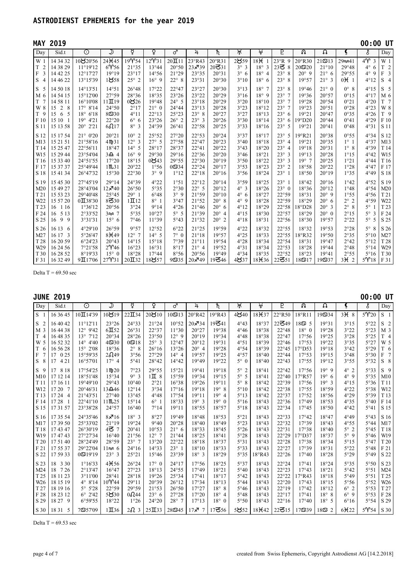|                                                                                            | <b>MAY 2019</b>                                                                                                      |                                                                                                                                |                                                                                                  |                                                                                                 |                                                                                 |                                                                               |                                                                                        |                                                                                                                          |                                                                                                      |                                                                             |                                                                                                                              |                                                                        |                                                                                                                   |                                                                                    | 00:00 UT                                                                                     |                                                                                              |
|--------------------------------------------------------------------------------------------|----------------------------------------------------------------------------------------------------------------------|--------------------------------------------------------------------------------------------------------------------------------|--------------------------------------------------------------------------------------------------|-------------------------------------------------------------------------------------------------|---------------------------------------------------------------------------------|-------------------------------------------------------------------------------|----------------------------------------------------------------------------------------|--------------------------------------------------------------------------------------------------------------------------|------------------------------------------------------------------------------------------------------|-----------------------------------------------------------------------------|------------------------------------------------------------------------------------------------------------------------------|------------------------------------------------------------------------|-------------------------------------------------------------------------------------------------------------------|------------------------------------------------------------------------------------|----------------------------------------------------------------------------------------------|----------------------------------------------------------------------------------------------|
| Day                                                                                        | Sid.t                                                                                                                | $\odot$                                                                                                                        | $\overline{\mathcal{Y}}$                                                                         | ₫                                                                                               | ò                                                                               | ♂                                                                             | 4                                                                                      | $\overline{\hbar}$                                                                                                       | )†়                                                                                                  | $\frac{1}{2}$                                                               | $\overline{P}$                                                                                                               | ନ୍ତ                                                                    | Ω                                                                                                                 | Ç                                                                                  | Š                                                                                            | Day                                                                                          |
| W <sub>1</sub><br>$\mathbf T$<br>$\overline{2}$<br>$\mathbf F$<br>3<br>S<br>$\overline{4}$ | 14 34 32<br>14 38 29<br>14 42 25<br>14 46 22                                                                         | 10820'56<br>$11^{\circ}19'12$<br>12°17'27<br>13°15'39                                                                          | 24 <sup>H</sup> 45<br>6Y56<br>19°19<br>1858                                                      | 19Y54<br>21°35<br>23°17<br>$25^{\circ}$ 2                                                       | 12Y31<br>13°44<br>$14^{\circ}56$<br>$16^{\circ}$ 9                              | $20\Pi1$<br>20°50<br>21°29<br>$22^{\circ}$ 8                                  | 23°R43<br>23×39<br>23°35<br>23°31                                                      | 20°R31<br>$20$ ろ $31$<br>20°31<br>20°30                                                                                  | 2859<br>$3^\circ$ 3<br>$3^\circ$ 6<br>3°10                                                           | $18+$<br>$18^\circ$ 3<br>$18^\circ$ 4<br>$18^\circ$ 6                       | $23^{\circ}R$ 9<br>$23\overline{6}8$<br>$23^{\circ}$<br>8<br>$23^{\circ}$<br>8                                               | 20°R30<br>20@20<br>$20^{\circ}$ 9<br>19°57                             | $21\,$ $\frac{13}{2}$<br>21°10<br>$21^{\circ}$ 6<br>$21^\circ$ 3                                                  | 29 × 41<br>29°48<br>29°55<br>$0 \times 1$                                          | $4\gamma$<br>3<br>$4^{\circ}$<br>6<br>$4^\circ$<br>9<br>4°12                                 | W <sub>1</sub><br>T<br>$\overline{2}$<br>$\overline{\mathbf{3}}$<br>F<br>$\overline{4}$<br>S |
| S<br>5<br>M <sub>6</sub><br>T<br>$\overline{7}$<br>W 8<br>T <sub>9</sub><br>F 10<br>S 11   | 14 50 18<br>14 54 15<br>14 58 11<br>$\overline{2}$<br>8<br>15<br>6<br>15<br>5<br>15 10<br>$\overline{1}$<br>15 13 58 | $14^{\circ}13'51$<br>$15^{\circ}12'00$<br>16°10'08<br>$17^{\circ} 8'14$<br>$18^{\circ} 6'18$<br>4'21<br>$19^\circ$<br>20° 2'21 | 14°51<br>27°59<br>$11\Pi19$<br>$24^{\circ}50$<br>$8 = 30$<br>22°20<br>6017                       | $26^{\circ}48$<br>28°36<br>0826<br>2°17<br>4°11<br>$6^{\circ}$ 6<br>$8^\circ$ 3                 | 17°22<br>18°35<br>19°48<br>$21^{\circ}$ 0<br>$22^{\circ}13$<br>23°26<br>24°39   | 22°47<br>23°26<br>$24^{\circ}$ 5<br>24°44<br>25°23<br>$26^{\circ}$ 2<br>26°41 | 23°27<br>23°22<br>23°18<br>23°13<br>$23^{\circ}$ 8<br>$23^\circ$ 3<br>22°58            | 20°30<br>20°29<br>20°29<br>20°28<br>20°27<br>20°26<br>20°25                                                              | 3°13<br>3°16<br>3°20<br>3°23<br>3°27<br>3°30<br>3°33                                                 | $18^{\circ}$ 7<br>$18^\circ$ 9<br>18°10<br>18°12<br>18°13<br>18°14<br>18°16 | $23^\circ$ 8<br>$23^{\circ}$ 7<br>$23^{\circ}$ 7<br>$23^{\circ}$ 7<br>$23^\circ$ 6<br>$23^{\circ}$<br>6<br>$23^{\circ}$<br>5 | 19°46<br>19°36<br>19°28<br>19°23<br>19°21<br>$19^{\circ}D20$<br>19°21  | $21^{\circ}$ 0<br>20°57<br>20°54<br>20°51<br>20°47<br>$20^{\circ}44$<br>20°41                                     | $0^{\circ}$ 8<br>$0^{\circ}15$<br>0°21<br>0°28<br>0°35<br>0°41<br>0°48             | 4°15<br>4°17<br>4°20<br>4°23<br>4°26<br>4°29<br>4°31                                         | S<br>5<br>M 6<br>T <sub>7</sub><br>W 8<br>T 9<br>$F_10$<br>S 11                              |
| S 12<br>M13<br>T <sub>14</sub><br>W15<br>T <sub>16</sub><br>F 17<br>S 18                   | 15 17 54<br>15 21 51<br>15 25 47<br>15 29 44<br>15 33 40<br>15 37 37<br>15 41 34                                     | $21^{\circ}$ 0'20<br>21°58'16<br>22°56'11<br>23°54'04<br>24°51'55<br>25°49'44<br>26°47'32                                      | 20°21<br>4mb31<br>18°47<br>$3\Omega$ 4<br>17°20<br>$1$ $\mathfrak{m}$ . $31$<br>15°30            | $10^{\circ}$ 2<br>$12^{\circ}$ 3<br>$14^{\circ}$ 5<br>$16^{\circ}$ 9<br>18°15<br>20°22<br>22°30 | 25°52<br>$27^\circ$ 5<br>28°17<br>29°30<br>0843<br>1°56<br>$3^{\circ}9$         | 27°20<br>27°58<br>28°37<br>29°16<br>29°55<br>$0 = 34$<br>1°12                 | 22°53<br>$22^{\circ}47$<br>$22^{\circ}41$<br>22°36<br>22°30<br>22°24<br>$22^{\circ}18$ | 20°24<br>20°23<br>20°22<br>20°20<br>20°19<br>$20^{\circ}17$<br>20°16                                                     | 3°37<br>3°40<br>3°43<br>3°46<br>3°50<br>3°53<br>3°56                                                 | 18°17<br>18°18<br>18°20<br>18°21<br>18°22<br>18°23<br>18°24                 | $23^{\circ}$<br>5<br>$23^\circ$ 4<br>$23^\circ$ 4<br>$23^\circ$ 3<br>$23^\circ$ 3<br>$23^\circ$ 2<br>$23^\circ$ 1            | 19°R21<br>19°21<br>19°18<br>19°13<br>19°7<br>18°58<br>18°50            | 20°38<br>20°35<br>20°31<br>20°28<br>20°25<br>20°22<br>20°19                                                       | 0°55<br>$1^\circ$ 1<br>$1^\circ$ 8<br>1°15<br>1°21<br>1°28<br>1°35                 | 4°34<br>4°37<br>4°39<br>4°42<br>4°44<br>4°47<br>4°49                                         | S 12<br>M13<br>T 14<br>W15<br>T <sub>16</sub><br>F 17<br>S 18                                |
| S 19<br>M20<br>T <sub>21</sub><br>W22<br>T <sub>23</sub><br>F 24<br>S 25                   | 15 45 30<br>15 49 27<br>15 53 23<br>15 57 20<br>16<br>1 1 6<br>5 1 3<br>16<br>99<br>16                               | 27°45'19<br>28°43'04<br>29°40'48<br>$0\Pi$ 38'30<br>1°36'12<br>2°33'52<br>3°31'31                                              | 29°14<br>$12 \times 40$<br>25°45<br>8 $\mathbf{Z}30$<br>20°56<br>$3 \approx 7$<br>$15^{\circ}$ 6 | 24°39<br>26°50<br>$29^\circ$ 1<br>$1 \mathbf{\Pi}$ $12$<br>3°24<br>5°35<br>7°46                 | 4°22<br>5°35<br>$6^{\circ}48$<br>$8^\circ$ 1<br>9°14<br>$10^{\circ}27$<br>11°39 | 1°51<br>2°30<br>$3^{\circ}9$<br>3°47<br>4°26<br>$5^{\circ}$ 5<br>5°43         | $22^{\circ}12$<br>$22^{\circ}$ 5<br>21°59<br>21°52<br>21°46<br>21°39<br>21°32          | $20^{\circ}14$<br>$20^{\circ}12$<br>$20^{\circ}10$<br>$20^\circ$ 8<br>$20^{\circ}$ 6<br>$20^{\circ}$ 4<br>$20^{\circ}$ 2 | 3°59<br>$4^\circ$ 3<br>$4^\circ$ 6<br>$4^\circ$ 9<br>$4^{\circ}12$<br>$4^{\circ}15$<br>$4^{\circ}18$ | 18°25<br>18°26<br>18°27<br>18°28<br>18°29<br>18°30<br>18°31                 | $23^\circ$ 1<br>$23^\circ$ 0<br>22°59<br>22°59<br>22°58<br>22°57<br>22°56                                                    | 18°42<br>18°36<br>18°31<br>18°29<br>$18^{\circ}$ D28<br>18°29<br>18°30 | $20^{\circ}16$<br>$20^{\circ}12$<br>$20^{\circ}$ 9<br>$20^{\circ}$ 6<br>$20^{\circ}$ 3<br>$20^{\circ}$ 0<br>19°57 | 1°42<br>1°48<br>1°55<br>$2^{\circ}$ 2<br>$2^{\circ}$<br>8<br>$2^{\circ}15$<br>2°22 | 4°52<br>4°54<br>4°56<br>4°59<br>$5^\circ$ 1<br>$5^\circ$<br>3<br>$5^{\circ}$<br>5            | S 19<br>M20<br>T21<br>W22<br>T <sub>23</sub><br>F 24<br>S 25                                 |
| S 26<br>M27<br>T <sub>28</sub><br>W <sub>29</sub><br>T <sub>30</sub><br>F 31               | 16 13 6<br>16 17 3<br>16 20 59<br>16 24 56<br>16 28 52<br>16 32 49                                                   | 4°29'10<br>5°26'47<br>6°24'23<br>7°21'58<br>8°19'33<br>$9\Pi$ 17'06                                                            | 26°59<br>$8 + 49$<br>20°43<br>$2\mathcal{V}$ 46<br>$15^{\circ}$ 0<br>$27^{\circ}$ 31             | 9°57<br>$12^{\circ}$ 7<br>14°15<br>16°23<br>18°28<br>$20\overline{\mathrm{H}}32$                | 12°52<br>$14^{\circ}$ 5<br>15°18<br>16°31<br>17°44<br>18857                     | 6°22<br>$7^\circ$ 0<br>7°39<br>8°17<br>8°56<br>9535                           | 21°25<br>21°18<br>21°11<br>$21^{\circ}$ 4<br>$20^{\circ}56$<br>$20\sqrt{49}$           | 19°59<br>19°57<br>19°54<br>19°52<br>19°49<br>19346                                                                       | 4°22<br>4°25<br>4°28<br>4°31<br>4°34<br>4837                                                         | 18°32<br>18°33<br>18°34<br>18°34<br>18°35<br>$18 + 36$                      | 22°55<br>22°55<br>22°54<br>$22^{\circ}53$<br>22°52<br>22351                                                                  | 18°32<br>18°R32<br>18°31<br>18°28<br>18°23<br>$18$ So $17$             | 19°53<br>19°50<br>19°47<br>19°44<br>19°41<br>19537                                                                | 2°28<br>2°35<br>$2^{\circ}42$<br>$2^{\circ}48$<br>2°55<br>3H <sub>2</sub>          | $5^\circ$<br>- 8<br>$5^{\circ}10$<br>$5^{\circ}12$<br>$5^{\circ}14$<br>$5^{\circ}16$<br>5Y18 | S 26<br>M27<br>T <sub>28</sub><br>W29<br>T <sub>30</sub><br>F 31                             |

Delta T =  $69.50$  sec

| <b>JUNE</b>              | 2019                    |                    |                                 |                             |                                |                |                         |                              |                                |                    |                    |                  |                              |                                | $00:00$ UT       |                 |
|--------------------------|-------------------------|--------------------|---------------------------------|-----------------------------|--------------------------------|----------------|-------------------------|------------------------------|--------------------------------|--------------------|--------------------|------------------|------------------------------|--------------------------------|------------------|-----------------|
| Day                      | Sid.t                   | $\overline{\odot}$ | $\mathcal{D}$                   | ₫                           | ç                              | ♂              | 4                       | $\overline{\hbar}$           | )†્                            | ₩                  | P                  | ନ୍ତ              | ൨                            | Ç                              | Š                | Day             |
| S <sub>1</sub>           | 16 36 45                | 10Ⅱ14'39           | 10819                           | $22\overline{\mathrm{H}}34$ | 20810                          | $10$ S $13$    | 20°R42                  | 19°R43                       | 4840                           | 18 <sup>H</sup> 37 | 22°R50             | $18^{\circ}$ R11 | 19934                        | 3H8                            | $5\sqrt{20}$     | S <sub>1</sub>  |
| S<br>$\overline{2}$      | 16 40 42                | $11^{\circ}12'11$  | 23°26                           | 24°33                       | 21°24                          | $10^{\circ}52$ | 20×34                   | 19341                        | $4^{\circ}43$                  | 18°37              | 22349              | $18\,$ 5         | 19°31                        | 3°15                           | 5°22             | S <sub>2</sub>  |
| M 3                      | 16 44 38                | $12^{\circ}$ 9'42  | $6\overline{\mathrm{H}}52$      | 26°31                       | 22°37                          | 11°30          | $20^{\circ}27$          | 19°38                        | $4^{\circ}46$                  | 18°38              | $22^{\circ}48$     | $18^{\circ}$ 0   | 19°28                        | 3°22                           | 5°23             | M <sub>3</sub>  |
| T<br>$\overline{4}$      | 16 48 35                | $13^{\circ}$ 7'12  | 20°34                           | 28°26                       | 23°50                          | $12^{\circ}$ 9 | $20^{\circ}19$          | 19°34                        | $4^{\circ}48$                  | 18°38              | $22^{\circ}47$     | 17°56            | 19°25                        | 3°28                           | 5°25             | T <sub>4</sub>  |
| W 5                      | 16 52 32                | $14^{\circ}$ 4'40  | 4930                            | $0$ $518$                   | $25^\circ$ 3                   | 12°47          | $20^{\circ}12$          | 19°31                        | 4°51                           | 18°39              | $22^{\circ}46$     | 17°53            | 19°22                        | 3°35                           | 5°27             | W 5             |
| T<br>-6                  | 16 56 28                | $15^{\circ} 2'08$  | 18°36                           | $2^{\circ}$ 8               | $26^{\circ}16$                 | 13°26          | $20^{\circ}$ 4          | 19°28                        | 4°54                           | 18°39              | 22°45              | $17^{\circ}$ D53 | 19°18                        | 3°42                           | 5°29             | T 6             |
| $\,$ F<br>$\overline{7}$ | 0 25<br>17              | 15°59'35           | 26 <sub>49</sub>                | 3°56                        | 27°29                          | $14^\circ$ 4   | 19°57                   | 19°25                        | 4°57                           | 18°40              | 22°44              | 17°53            | 19°15                        | 3°48                           | 5°30             | F <sub>7</sub>  |
| 8<br><sub>S</sub>        | 4 2 1<br>17             | 16°57'01           | $17^\circ$ 4                    | $5^{\circ}41$               | 28°42                          | 14°42          | 19°49                   | 19°22                        | $5^\circ$ 0                    | 18°40              | 22°43              | 17°55            | 19°12                        | 3°55                           | 5°32             | S <sub>8</sub>  |
| S.<br>9                  | 8 1 8<br>17             | 17°54'25           | $1 \, \mathrm{m}$ $20$          | 7°23                        | 29°55                          | 15°21          | 19°41                   | 19°18                        | $5^\circ$ 2                    | 18°41              | $22^{\circ}42$     | 17°56            | 19°9                         | $4^{\circ}$ 2                  | 5°33             | S <sub>9</sub>  |
| M10                      | 17 12 14                | 18°51'48           | 15°34                           | $9^{\circ}$ 3               | $1\mathbf{I}$ 8                | 15°59          | 19°34                   | 19°15                        | $5^\circ$ 5                    | 18°41              | $22^{\circ}40$     | $17^{\circ}$ R57 | 19°6                         | $4^{\circ}$ 9                  | 5°35             | M10             |
| T11                      | 17 16 11                | 19°49'10           | 29°43                           | 10°40                       | 2°21                           | 16°38          | 19°26                   | 19°11                        | $5^\circ$ 8                    | 18°42              | 22°39              | 17°56            | $19^{\circ}$ 3               | $4^{\circ}15$                  | 5°36             | T <sub>11</sub> |
| W12                      | 17 20 7                 | $20^{\circ}46'31$  | 13 <b>으</b> 46                  | 12°14                       | 3°34                           | 17°16          | 19°18                   | 19°8                         | $5^{\circ}10$                  | 18°42              | 22°38              | 17°55            | 18°59                        | 4°22                           | 5°38             | W12             |
| T <sub>13</sub>          | 17 24<br>$\overline{4}$ | 21°43'51           | $27^{\circ}40$                  | 13°45                       | $4^{\circ}48$                  | 17°54          | 19°11                   | $19^\circ$ 4                 | $5^{\circ}13$                  | 18°42              | 22°37              | 17°52            | 18°56                        | 4°29                           | 5°39             | T <sub>13</sub> |
| F 14                     | 1728 1                  | 22°41'10           | 11M25                           | 15°14                       | $6^\circ$ 1                    | 18°33          | $19^\circ$ 3            | 19°0                         | $5^{\circ}16$                  | 18°43              | 22°36              | 17°49            | 18°53                        | 4°35                           | $5^{\circ}40$    | F 14            |
| S 15                     | 17 31 57                | 23°38'28           | 24°57                           | 16°40                       | 7°14                           | 19°11          | 18°55                   | 18°57                        | $5^{\circ}18$                  | 18°43              | 22°34              | 17°45            | 18°50                        | $4^{\circ}42$                  | 5°41             | S 15            |
| S 16                     | 17 35 54                | 24°35'46           | $8 \times 16$                   | $18^\circ$ 3                | 8°27                           | 19°49          | 18°48                   | 18°53                        | 5°21                           | 18°43              | 22°33              | $17^{\circ}42$   | 18°47                        | $4^{\circ}49$                  | $5^{\circ}43$    | S 16            |
| M17                      | 17 39 50                | 25°33'02           | 21°19                           | 19°24                       | 9°40                           | 20°28          | 18°40                   | 18°49                        | 5°23                           | 18°43              | 22°32              | 17°39            | 18°43                        | $4^{\circ}55$                  | $5^{\circ}44$    | M17             |
| T <sub>18</sub>          | 17 43 47                | 26°30'19           | 487                             | $20^{\circ}41$              | 10°53                          | $21^{\circ}$ 6 | 18°33                   | 18°45                        | $5^{\circ}26$                  | 18°43              | 22°31              | 17°38            | 18°40                        | $5^\circ$ 2                    | $5^{\circ}45$    | T 18            |
| W19                      | 174743                  | 27°27'34           | $16^{\circ}40$                  | 21°56                       | $12^{\circ}$ 7                 | 21°44          | 18°25                   | 18°41                        | 5°28                           | 18°43              | 22°29              | $17^{\circ}$ D37 | 18°37                        | $5^\circ$ 9                    | $5^{\circ}46$    | W19             |
| T 20                     | 17 51 40                | 28°24'49           | 28°59                           | $23^{\circ}$ 7              | 13°20                          | 22°22          | 18°18                   | 18°37                        | 5°31                           | 18°43              | 22°28              | 17°38            | 18°34                        | $5^{\circ}15$                  | 5°47             | T 20            |
| F <sub>21</sub>          | 17 55 37                | 29°22'04           | llæ $6$                         | $24^{\circ}16$              | 14°33                          | $23^\circ$ 1   | 18°10                   | 18°33                        | 5°33                           | 18°43              | 22°27              | 17°39            | 18°31                        | 5°22                           | $5^{\circ}48$    | F 21            |
| S 22                     | 17 59 33                | $0$ S $19'19$      | $23^\circ$ 3                    | 25°21                       | 15°46                          | 23°39          | $18^\circ$ 3            | 18°29                        | 5°35                           | 18°R43             | 22°26              | 17°40            | 18°28                        | 5°29                           | 5°49             | S 22            |
| S 23                     | 18 3 30                 | 1°16'33            | $4 + 56$                        | 26°24                       | $17^\circ$ 0                   | $24^{\circ}17$ | 17°56                   | 18°25                        | 5°37                           | 18°43              | 22°24              | 17°41            | 18°24                        | 5°35                           | $5^{\circ}50$    | S 23            |
| M24                      | 18 7 26                 | $2^{\circ}13'47$   | $16^{\circ}47$                  | 27°23                       | 18°13                          | 24°55          | 17°49                   | 18°21                        | $5^{\circ}40$                  | 18°43              | 22°23              | $17^{\circ}43$   | 18°21                        | 5°42                           | 5°51             | M24             |
| T 25                     | 18 11 23                | $3^{\circ}11'00$   | 28°41                           | 28°18                       | 19°26                          | 25°34          | 17°41                   | 18°17                        | $5^{\circ}42$                  | 18°43              | $22^{\circ}22$     | $17^{\circ}R43$  | 18°18                        | $5^{\circ}49$                  | $5^{\circ}51$    | T <sub>25</sub> |
| W <sub>26</sub>          | 18 15 19                | $4^{\circ} 8'14$   | $10$ <sup><math>44</math></sup> | 29°11                       | 20°39                          | 26°12          | 17°34                   | 18°13                        | $5^{\circ}44$                  | 18°43              | $22^{\circ}20$     | 17°43            | 18°15                        | 5°56                           | 5°52             | W <sub>26</sub> |
| T 27                     | 18 19 16                | $5^\circ$ 5'28     | 22°59                           | 29°59                       | 21°53                          | 26°50          | 17°27                   | $18^\circ$ 8                 | $5^{\circ}46$                  | 18°43              | $22^{\circ}19$     | $17^{\circ}42$   | 18°12                        | $6^\circ$ 2                    | 5°53             | T <sub>27</sub> |
| F 28                     | 18 23 12                | $6^{\circ}$ 2'42   | 5830                            | $0$ $\Omega$ 44             | $23^\circ$ 6<br>$24^{\circ}20$ | 27°28          | 17°20<br>$17^{\circ}13$ | $18^\circ$ 4<br>$18^\circ$ 0 | $5^{\circ}48$<br>$5^{\circ}50$ | 18°43              | $22^{\circ}17$     | 17°41            | $18^\circ$ 8<br>$18^\circ$ 5 | $6^{\circ}$ 9<br>$6^{\circ}16$ | 5°53             | F 28            |
| S 29                     | 18 27 9                 | 6°59'55            | 18°22                           | 1°26                        |                                | $28^\circ$ 7   |                         |                              |                                | 18°43              | $22^{\circ}16$     | $17^{\circ}40$   |                              |                                | 5°54             | S 29            |
| S 30                     | 18 31 5                 | 79557'09           | $1\mathbf{\Pi}36$               | $2\Omega$ 3                 | $25\overline{\mathrm{1}33}$    | 289345         | $17 - 7$                | 17356                        | 5852                           | $18 + 42$          | $22\overline{6}15$ | 17539            | $18\,$ $2$                   | $6\text{H}22$                  | $5\mathcal{V}54$ | S 30            |

Delta T =  $69.53$  sec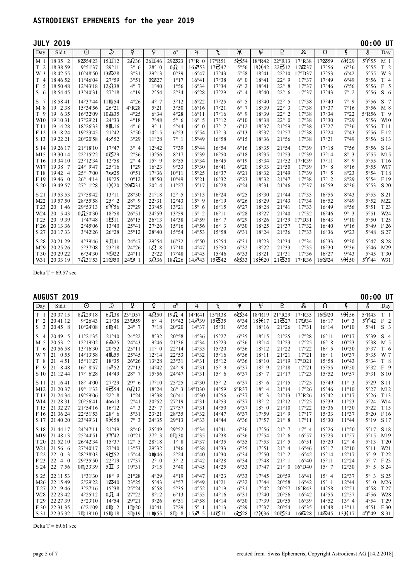|                     | <b>JULY 2019</b>       |                      |                   |                |                              |                |                 |                    |               |                               |                                |                 |              |               | 00:00 UT             |                 |
|---------------------|------------------------|----------------------|-------------------|----------------|------------------------------|----------------|-----------------|--------------------|---------------|-------------------------------|--------------------------------|-----------------|--------------|---------------|----------------------|-----------------|
| Day                 | Sid.t                  | $\odot$              | ⊅                 | ਖ਼             | ç                            | ♂              | 4               | $\overline{\hbar}$ | )†়(          | ₩                             | P                              | ନ୍ତ             | Ω            | Ç             | Š                    | Day             |
| M <sub>1</sub>      | 18 35 2                | 8954'23              | $15\Pi12$         | 2036           | $26\overline{\mathrm{H}}$ 46 | 295523         | $17^{\circ}R$ 0 | $17^{\circ}$ R51   | 5854          | 18°R42                        | 22°R13                         | 17°R38          | 17559        | $6 + 29$      | 5Y55                 | M <sub>1</sub>  |
| T<br>$\overline{2}$ | 18 38 59               | 9°51'37              | 29°11             | $3^\circ$ 6    | $28^\circ$ 0                 | $0\Omega$ 1    | $16\sqrt{3}53$  | 17347              | 5°56          | $18 + 42$                     | $22\overline{6}12$             | 17937           | 17°56        | 6°36          | 5°55                 | T <sub>2</sub>  |
| W 3                 | 18 42 55               | 10°48'50             | 139528            | 3°31           | 29°13                        | 0°39           | $16^{\circ}47$  | 17°43              | 5°58          | 18°41                         | $22^{\circ}10$                 | 17°D37          | 17°53        | $6^{\circ}42$ | 5°55                 | W 3             |
| T<br>$\overline{4}$ | 18 46 52               | 11°46'04             | 27°59             | 3°51           | $0 = 27$                     | 1°17           | $16^{\circ}41$  | 17°38              | $6^{\circ}$ 0 | 18°41                         | $22^{\circ}$ 9                 | 17°37           | 17°49        | $6^{\circ}49$ | 5°56                 | T <sub>4</sub>  |
| F<br>5              | 18 50 48               | 12°43'18             | 12038             | $4^{\circ}$ 7  | 1°40                         | 1°56           | 16°34           | 17°34              | $6^\circ$ 2   | 18°41                         | $22^{\circ}$<br>-8             | 17°37           | 17°46        | 6°56          | 5°56                 | 5<br>F          |
| S<br>6              | 18 54 45               | 13°40'31             | 27°18             | 4°19           | 2°54                         | 2°34           | 16°28           | 17°29              | $6^{\circ}$ 4 | 18°40                         | $22^{\circ}$<br>6              | 17°37           | 17°43        | $7^\circ$ 2   | 5°56                 | S<br>- 6        |
| S<br>$\overline{7}$ | 18 58 41               | 14°37'44             | 11mp54            | $4^{\circ}26$  | $4^{\circ}$ 7                | 3°12           | 16°22           | 17°25              | $6^{\circ}$ 5 | 18°40                         | $22^{\circ}$<br>5              | 17°38           | 17°40        | 7°9           | 5°56                 | S <sub>7</sub>  |
| M 8                 | 19<br>2 3 8            | 15°34'56             | $26^{\circ}21$    | $4^{\circ}R28$ | 5°21                         | 3°50           | $16^{\circ}16$  | 17°21              | $6^\circ$ 7   | 18°39                         | $22^{\circ}$<br>$\overline{3}$ | 17°38           | 17°37        | 7°16          | 5°56                 | M 8             |
| T <sub>9</sub>      | 19 6 35                | 16°32'09             | $10-235$          | 4°25           | 6°34                         | 4°28           | $16^{\circ}11$  | 17°16              | $6^{\circ}$ 9 | 18°39                         | $22^{\circ}$ 2                 | 17°38           | 17°34        | 7°22          | 5°R56                | T 9             |
| W10                 | 19 10 31               | 17°29'21             | 24°33             | $4^{\circ}18$  | 7°48                         | $5^\circ$ 6    | $16^{\circ}$ 5  | 17°12              | $6^{\circ}10$ | 18°38                         | $22^{\circ}$ 0                 | 17°38           | 17°30        | 7°29          | 5°56                 | W10             |
| T11                 | 19 14 28               | 18°26'33             | 8 <sub>m.16</sub> | $4^{\circ}$ 6  | $9^{\circ}$ 1                | $5^{\circ}44$  | $16^{\circ}$ 0  | $17^\circ$ 7       | $6^{\circ}12$ | 18°37                         | 21°59                          | 17°38           | 17°27        | 7°36          | 5°56                 | T <sub>11</sub> |
| F 12                | 19 18 24               | 19°23'45             | 21°42             | 3°50           | $10^{\circ}15$               | $6^{\circ}23$  | 15°54           | $17^\circ$ 3       | $6^{\circ}13$ | 18°37                         | 21°57                          | 17°38           | 17°24        | 7°43          | 5°56                 | F 12            |
| S 13                | 19 22 21               | 20°20'58             | $4 \times 52$     | 3°29           | 11°28                        | $7^\circ$ 1    | 15°49           | 16°58              | 6°15          | 18°36                         | 21°56                          | 17°38           | 17°21        | 7°49          | 5°56                 | S 13            |
| S 14                | 19 26 17               | $21^{\circ}18'10$    | 17°47             | $3^{\circ}$ 4  | 12°42                        | 7°39           | 15°44           | 16°54              | $6^{\circ}16$ | 18°35                         | 21°54                          | 17°39           | 17°18        | 7°56          | 5°56                 | S 14            |
| M15                 | 19 30 14               | 22°15'22             | $0\bar{5}29$      | 2°36           | 13°56                        | 8°17           | 15°39           | 16°50              | $6^{\circ}18$ | 18°35                         | 21°53                          | 17°39           | 17°14        | $8^\circ$ 3   | 5°55                 | M15             |
| T <sub>16</sub>     | 19 34 10               | 23°12'34             | 12°58             | $2^{\circ}$ 4  | $15^{\circ}$ 9               | 8°55           | 15°34           | 16°45              | $6^{\circ}19$ | 18°34                         | 21°52                          | $17^{\circ}R39$ | 17°11        | $8^\circ$ 9   | 5°55                 | T <sub>16</sub> |
| W17                 | 1938<br>$\overline{7}$ | 24° 9'47             | 25°16             | 1°29           | 16°23                        | 9°33           | 15°30           | 16°41              | $6^{\circ}20$ | 18°33                         | 21°50                          | 17°39           | $17^\circ$ 8 | $8^{\circ}16$ | 5°55                 | W17             |
| T <sub>18</sub>     | 1942 4                 | $25^{\circ}$<br>7'00 | $7\infty25$       | 0°51           | 17°36                        | $10^{\circ}11$ | 15°25           | 16°37              | 6°21          | 18°32                         | 21°49                          | 17°39           | $17^\circ$ 5 | 8°23          | 5°54                 | T <sub>18</sub> |
| F 19                | 19460                  | $26^{\circ}$ 4'14    | 19°25             | 0°12           | 18°50                        | 10°49          | 15°21           | 16°32              | 6°23          | 18°32                         | 21°47                          | 17°38           | $17^\circ$ 2 | 8°29          | 5°54                 | F 19            |
| S 20                | 19 49 57               | 27° 1'28             | $1 + 20$          | 29531          | $20^{\circ}$ 4               | 11°27          | 15°17           | 16°28              | 6°24          | 18°31                         | 21°46                          | 17°37           | 16°59        | 8°36          | 5°53                 | S 20            |
| S 21                | 19 53 53               | 27°58'42             | 13°11             | 28°50          | 21°18                        | $12^{\circ}$ 5 | 15°13           | 16°24              | $6^{\circ}25$ | 18°30                         | 21°44                          | 17°35           | 16°55        | 8°43          | 5°53                 | S 21            |
| M22                 | 19 57 50               | 28°55'58             | $25^\circ$ 2      | $28^\circ$ 9   | 22°31                        | 12°43          | $15^{\circ}$ 9  | 16°19              | $6^{\circ}26$ | 18°29                         | 21°43                          | 17°34           | 16°52        | 8°49          | 5°52                 | M22             |
| T <sub>23</sub>     | 20<br>146              | 29°53'13             | 6Y56              | 27°29          | 23°45                        | 13°21          | $15^{\circ}$ 6  | 16°15              | 6°27          | 18°28                         | 21°41                          | 17°33           | 16°49        | 8°56          | $5^{\circ}51$        | T <sub>23</sub> |
| W <sub>24</sub>     | 20 5 43                | $0$ $\Omega$ 50'30   | 18°58             | 26°51          | 24°59                        | 13°59          | $15^{\circ}$ 2  | 16°11              | $6^{\circ}28$ | 18°27                         | 21°40                          | 17°32           | 16°46        | $9^\circ$ 3   | 5°51                 | W24             |
| T <sub>25</sub>     | 20<br>939              | 1°47'48              | 1811              | $26^{\circ}15$ | $26^{\circ}13$               | 14°38          | 14°59           | $16^{\circ}$ 7     | $6^{\circ}29$ | 18°26                         | 21°39                          | 17°D31          | 16°43        | 9°10          | 5°50                 | T <sub>25</sub> |
| F 26                | 20 13 36               | 2°45'06              | 13°40             | 25°41          | 27°26                        | 15°16          | 14°56           | $16^{\circ}$ 3     | 6°30          | 18°25                         | 21°37                          | 17°32           | 16°40        | 9°16          | 5°49                 | F 26            |
| S 27                | 20 17 33               | 3°42'26              | 26°28             | 25°12          | 28°40                        | 15°54          | 14°53           | 15°58              | 6°31          | 18°24                         | 21°36                          | 17°33           | 16°36        | 9°23          | 5°48                 | S 27            |
| S 28                | 20 21 29               | 4°39'46              | $9\text{H}41$     | $24^{\circ}47$ | 29°54                        | 16°32          | 14°50           | 15°54              | 6°31          | 18°23                         | 21°34                          | 17°34           | 16°33        | 9°30          | 5°47                 | S 28            |
| M29                 | 20 25 26               | 5°37'08              | 23°18             | $24^{\circ}26$ | 1628                         | $17^{\circ}10$ | $14^{\circ}47$  | 15°50              | 6°32          | 18°22                         | 21°33                          | 17°35           | 16°30        | 9°36          | $5^{\circ}46$        | M29             |
| T <sub>30</sub>     | 20 29 22               | 6°34'30              | 79322             | $24^{\circ}11$ | 2°22                         | 17°48          | $14^{\circ}45$  | 15°46              | 6°33          | 18°21                         | 21°31                          | 17°36           | 16°27        | 9°43          | $5^{\circ}45$        | T 30            |
| W31                 | 20 33 19               | $7\Omega$ 31'53      | 219550            | 24951          | 38236                        | 188226         | 14 አባ43         | 15342              | 6833          | 18 <sup>H</sup> <sub>20</sub> | $21$ ろ $30$                    | 17°R36          | 169324       | $9\times50$   | $5^{\prime\prime}44$ | W31             |

Delta T =  $69.57$  sec

|  |  | <b>AUGUST</b> |  |  | 2019 |
|--|--|---------------|--|--|------|
|  |  |               |  |  |      |

|                                | <b>AUGUST 2019</b>   |                      |                     |                  |                |                    |                 |                    |                |                               |                                |                  |                     |                | $00:00$ UT                  |                     |
|--------------------------------|----------------------|----------------------|---------------------|------------------|----------------|--------------------|-----------------|--------------------|----------------|-------------------------------|--------------------------------|------------------|---------------------|----------------|-----------------------------|---------------------|
| Day                            | Sid.t                | $\overline{\odot}$   | ⋑                   | ਖ਼               | ò              | ♂                  | 4               | $\overline{\hbar}$ | भू             | ₩                             | P                              | ନ                | $\overline{\Omega}$ | Ł              | δ                           | Day                 |
| T <sub>1</sub>                 | 20 37 15             | 8029'18              | 6038                | $23^{\circ}$ D57 | 40250          | 19024              | 14°R41          | 15°R38             | 6834           | 18°R19                        | 21°R29                         | 17°R35           | $16$ තු $20$        | $9 + 56$       | $5^{\circ}R43$              | T <sub>1</sub>      |
| $\mathbf{F}$<br>$\overline{2}$ | 20 41 12             | 9°26'43              | 21°38               | 23559            | $6^{\circ}$ 4  | 19°42              | $14 \times 39$  | 15335              | 6°34           | 18 <sup>H</sup> <sub>17</sub> | 21 $\Xi$ 27                    | 17934            | 16°17               | $10^{\circ}$ 3 | $5^{\prime\prime}42$        | F <sub>2</sub>      |
| S<br>3                         | 20 45 8              | $10^{\circ}24'08$    | $6$ Mp $41$         | $24^{\circ}$ 7   | 7°18           | 20°20              | 14°37           | 15°31              | 6°35           | 18°16                         | 21°26                          | 17°31            | 16°14               | $10^{\circ}10$ | 5°41                        | S<br>$\overline{3}$ |
| S<br>$\overline{4}$            | 2049<br>-5           | 11°21'35             | 21°40               | $24^{\circ}22$   | 8°32           | 20°58              | 14°36           | 15°27              | 6°35           | 18°15                         | 21°25                          | 17°28            | $16^{\circ}11$      | $10^{\circ}17$ | 5°39                        | S <sub>4</sub>      |
| M 5                            | 20 53 2              | 12°19'02             | $6\triangle 25$     | $24^{\circ}43$   | 9°46           | 21°36              | 14°34           | 15°23              | 6°36           | 18°14                         | 21°23                          | 17°25            | $16^{\circ}$ 8      | $10^{\circ}23$ | 5°38                        | M <sub>5</sub>      |
| T<br>6                         | 20 56 58             | $13^{\circ}16'30$    | 20°52               | $25^{\circ}11$   | $11^{\circ}$ 0 | $22^{\circ}14$     | 14°33           | 15°20              | 6°36           | 18°12                         | 21°22                          | 17°22            | $16^{\circ}$ 5      | 10°30          | 5°37                        | T 6                 |
| W                              | 21<br>0.55           | 14°13'58             | 4m55                | 25°45            | $12^{\circ}14$ | 22°53              | 14°32           | 15°16              | 6°36           | 18°11                         | 21°21                          | 17°21            | $16^{\circ}$ 1      | 10°37          | 5°35                        | W 7                 |
| T<br>8                         | 451<br>21            | 15°11'27             | 18°35               | 26°26            | 13°28          | 23°31              | 14°31           | 15°12              | 6°36           | 18°10                         | 21°19                          | 7°D21            | 15°58               | 10°43          | 5°34                        | T 8                 |
| F<br>-9                        | 21<br>848            | $16^{\circ} 8'57$    | 1,752               | 27°13            | $14^{\circ}42$ | $24^{\circ}9$      | 14°31           | $15^{\circ}$ 9     | 6°37           | $18^{\circ}$ 9                | 21°18                          | 17°21            | 15°55               | 10°50          | 5°32                        | F 9                 |
| S 10                           | 21 12 44             | $17^{\circ}$ 6'28    | 14°49               | $28^\circ$ 7     | 15°56          | 24°47              | 14°31           | $15^{\circ}$ 6     | 6°37           | $18^{\circ}$ 7                | 21°17                          | 17°23            | 15°52               | 10°57          | 5°31                        | S 10                |
| S 11                           | 21 16 41             | $18^{\circ}$<br>4'00 | 27°29               | 29°6             | $17^{\circ}10$ | 25°25              | $14^{\circ}30$  | $15^{\circ}$ 2     | 6°37           | $18^\circ$ 6                  | 21°15                          | 17°25            | 15°49               | $11^{\circ}$ 3 | 5°29                        | S 11                |
| M12                            | 21 20 37             | 19° 1'33             | $9\overline{6}54$   | $0$ $\Omega$ 12  | 18°24          | $26^\circ$ 3       | $14^{\circ}D30$ | 14°59              | $6^{\circ}R37$ | $18^\circ$ 4                  | 21°14                          | 17°26            | 15°46               | 11°10          | 5°27                        | M12                 |
| T <sub>13</sub>                | 21 24 34             | 19°59'06             | $22^{\circ}$ 8      | 1°24             | 19°38          | $26^{\circ}41$     | 14°30           | 14°56              | 6°37           | $18^\circ$ 3                  | 21°13                          | $17^{\circ}R26$  | 15°42               | 11°17          | 5°26                        | T <sub>13</sub>     |
| W14                            | 21 28 31             | 20°56'41             | $4 \approx 13$      | 2°41             | 20°52          | 27°19              | 14°31           | 14°53              | 6°37           | $18^\circ$ 2                  | 21°12                          | 17°25            | 15°39               | 11°23          | 5°24                        | W14                 |
| T <sub>15</sub>                | 21 32 27             | 21°54'16             | $16^{\circ}12$      | $4^\circ$ 3      | $22^{\circ}$ 7 | 27°57              | 14°31           | $14^{\circ}50$     | 6°37           | $18^{\circ}$ 0                | 21°10                          | 17°22            | 15°36               | 11°30          | 5°22                        | T <sub>15</sub>     |
| F 16                           | 21 36 24             | 22°51'53             | $28^{\circ}$ 6      | 5°31             | 23°21          | 28°35              | 14°32           | $14^{\circ}47$     | 6°37           | 17°59                         | $21^{\circ}9$                  | 17°17            | 15°33               | 11°37          | 5°20                        | F 16                |
| S 17                           | 21 40 20             | 23°49'31             | 9 <sub>H58</sub>    | $7^\circ$ 3      | 24°35          | 29°13              | 14°33           | 14°44              | 6°36           | 17°57                         | $21^{\circ}$ 8                 | 17°11            | 15°30               | 11°44          | 5°19                        | S 17                |
| S 18                           | 21 44 17             | 24°47'11             | 21°49               | 8°40             | 25°49          | 29°52              | 14°34           | 14°41              | 6°36           | 17°56                         | $21^{\circ}$ 7                 | $17^\circ$ 4     | 15°26               | 11°50          | 5°17                        | S 18                |
| M19                            | 21 48 13             | 25°44'51             | $3^{\circ}$ 42      | $10^{\circ}21$   | $27^\circ$ 3   | $0 \, \text{m}$ 30 | 14°35           | 14°38              | 6°36           | 17°54                         | $21^{\circ}$ 6                 | 16°57            | 15°23               | 11°57          | 5°15                        | M19                 |
| T <sub>20</sub>                | 21 52 10             | 26°42'34             | 15°37               | $12^{\circ}$ 5   | 28°18          | $1^\circ$ 8        | 14°37           | 14°35              | 6°35           | 17°53                         | $21^{\circ}$ 5                 | 16°51            | 15°20               | $12^{\circ}$ 4 | 5°13                        | T 20                |
| W <sub>21</sub>                | 21 56 6              | 27°40'17             | $27^{\circ}40$      | 13°53            | 29°32          | 1°46               | 14°38           | 14°33              | 6°35           | 17°51                         | $21^{\circ}$ 4                 | $16^{\circ}46$   | 15°17               | $12^{\circ}10$ | $5^{\circ}11$               | W <sub>21</sub>     |
| T <sub>22</sub>                | 22<br>0 <sub>3</sub> | 28°38'03             | 9852                | 15°44            | $0 \,$ m $46$  | 2°24               | $14^{\circ}40$  | 14°30              | 6°34           | 17°50                         | $21^{\circ}$<br>2              | $16^{\circ}42$   | 15°14               | 12°17          | $5^\circ$ 9                 | T 22                |
| F 23                           | 22<br>$4\quad0$      | 29°35'50             | $22^{\circ}19$      | 17°37            | $2^{\circ}$ 0  | $3^\circ$ 2        | $14^{\circ}42$  | 14°28              | 6°34           | $17^{\circ}48$                | $21^\circ$ 1                   | 16°40            | 15°11               | 12°24          | $5^\circ$<br>$\overline{7}$ | F 23                |
| S 24                           | 22<br>756            | 0m 33'39             | $5\overline{1}$ 3   | 19°31            | 3°15           | 3°40               | $14^{\circ}45$  | 14°25              | 6°33           | 17°47                         | $21^{\circ}$<br>$\overline{0}$ | $16^{\circ}$ D40 | $15^{\circ}$ 7      | 12°30          | $5^\circ$<br>-5             | S 24                |
| S 25                           | 22 11 53             | 1°31'30              | $18^{\circ}$ 9      | 21°28            | 4°29           | 4°19               | 14°47           | 14°23              | 6°33           | $17^{\circ}45$                | 20°59                          | $16^{\circ}41$   | $15^{\circ}$ 4      | 12°37          | $5^\circ$ 3                 | S 25                |
| M <sub>26</sub>                | 22 15 49             | 2°29'22              |                     | 23°25            | 5°43           | 4°57               | 14°49           | 14°21              | 6°32           | $17^{\circ}44$                | 20°58                          | 16°42            | $15^\circ$ 1        | 12°44          | $5^\circ$ 0                 | M26                 |
| T <sub>27</sub>                | 22 19 46             | 3°27'16              | 15°38               | 25°24            | $6^{\circ}58$  | 5°35               | $14^{\circ}52$  | $14^{\circ}19$     | 6°31           | $17^{\circ}42$                | 20°57                          | $16^{\circ}R43$  | 14°58               | 12°51          | 4°58                        | T <sub>27</sub>     |
| W28                            | 22 23 42             | 4°25'12              | $0\Omega$ 4         | 27°22            | 8°12           | 6°13               | $14^{\circ}55$  | $14^{\circ}16$     | 6°31           | $17^{\circ}40$                | 20°56                          | 16°42            | 14°55               | 12°57          | 4°56                        | W28                 |
| T <sub>29</sub>                | 22 27 39             | 5°23'10              | $14^{\circ}54$      | 29°21            | 9°26           | 6°51               | $14^{\circ}58$  | $14^{\circ}14$     | 6°30           | 17°39                         | 20°55                          | 16°39            | 14°52               | $13^{\circ}$ 4 | 4°54                        | T <sub>29</sub>     |
| F 30                           | 22 31 35             | 6°21'09              | $0 \, \text{m}$ 2   | $1$ M $20$       | 10°41          | 7°29               | $15^{\circ}$    | $14^{\circ}13$     | $6^{\circ}29$  | 17°37                         | 20°54                          | 16°35            | $14^{\circ}48$      | 13°11          | 4°51                        | F 30                |
| S 31                           | 22 35 32             | 7m 19'10             | $15 \text{ m}$ $18$ | $3$ Mp $19$      | 11mp55         | $8$ m $8$          | $15 \times 5$   | 14311              | 6828           | $17 + 36$                     | 20354                          | $16$ ති $28$     | 14S345              | $13 + 17$      | 4Y49                        | S 31                |

Delta T =  $69.61$  sec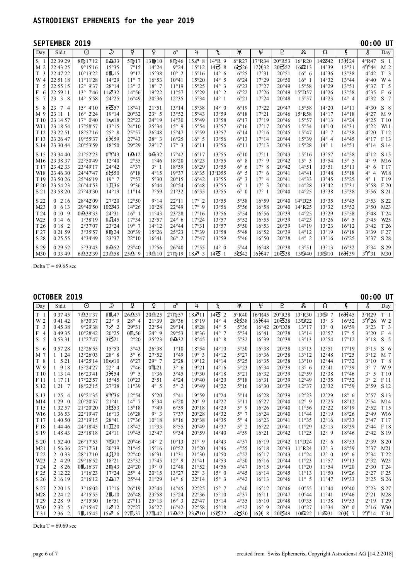#### **SEPTEMBER 2019 00:00 UT**  $\Box$  Day | Sid.t |  $\bigcirc$  |  $\gimel$  |  $\circ$  |  $\varphi$  |  $\sigma$  |  $\lambda$  |  $\hbar$  |  $\mathcal{W}$  |  $\frac{\psi}{\psi}$  |  $\frac{\psi}{\psi}$  |  $\Omega$  |  $\Omega$  |  $\Omega$  |  $\frac{\psi}{\psi}$  |  $\delta$  |  $\Box$  |  $\Box$ S 1 22 39 29 | 8Hp17'12 | 0Ω33 | 5Hp17 |13Hp10 | 8Hp46 |15ヌ 8 |14°R 9 | 6°R27 |17°R34 |20°R53 |16°R20 |14S42 |13¥24 | 4°R47 |S 1  $M$  2 22 43 25  $\frac{9915'16}{9^915'16}$  15°35  $\frac{7915}{7^915}$  14°24  $\frac{9924}{9^924}$  15°12 14 $\frac{145}{8}$  8  $\frac{6326}{8^26}$  17 $\frac{17}{32}$  20 $\frac{352}{20}$  352 16 $\frac{1625}{14^939}$  14°39 13°31 4°44 M 2 T 3 22 47 22 10°13'22 0h15 9°12 15°38 10° 2 15°16 14° 6 6°25 17°31 20°51 16° 6 14°36 13°38 4°42 T 3 W 4 22 51 18 11°11'28 14°29 11° 7 16°53 10°41 15°20 14° 5 6°24 17°29 20°50 16° 1 14°32 13°44 4°40 W 4 T 5 22 55 15 12° 9'37 28°14 13° 2 18° 7 11°19 15°25 14° 3 6°23 17°27 20°49 15°58 14°29 13°51 4°37 T 5  $\begin{bmatrix} 1 & 5 \\ 2 & 25 \end{bmatrix}$   $\begin{bmatrix} 2 & 5 & 1 \\ 1 & 3 \end{bmatrix}$   $\begin{bmatrix} 2 & 5 & 1 \\ 11 & 3 & 2 \end{bmatrix}$   $\begin{bmatrix} 1 & 1 & 3 \\ 11 & 3 & 2 \end{bmatrix}$   $\begin{bmatrix} 1 & 1 & 3 \\ 1 & 4 & 5 \end{bmatrix}$   $\begin{bmatrix} 1 & 1 & 3 \\ 1 & 9 & 2 \end{bmatrix}$   $\begin{bmatrix} 1 & 1 & 3 \\ 1 & 5 & 2 \end{bmatrix}$   $\begin$ S 7 23 3 8 14° 5'58 24°25 16°49 20°36 12°35 15°34 14° 1 6°21 17°24 20°48 15°57 14°23 14° 4 4°32 S 7  $S$  8  $23$  7 4  $\big|$  15° 4'10  $\big|$  6357  $\big|$  18°41  $\big|$  21°51  $\big|$  13°14  $\big|$  15°38  $\big|$  14° 0  $\big|$  6°19  $\big|$  17°22  $\big|$  20°47  $\big|$  15°58  $\big|$  14°20  $\big|$  14°11  $\big|$  4°30  $\big|$  S 8 M 9 23 11 1 16° 2'24 19°14 20°32 23° 5 13°52 15°43 13°59 6°18 17°21 20°46 15°R58 14°17 14°18 4°27 M 9  $T10\begin{bmatrix} 23 & 14 & 57 \\ 23 & 14 & 57 \end{bmatrix}$   $T_1 = \begin{bmatrix} 17 & 24 & 16 \\ 17 & 21 & 16 \end{bmatrix}$   $T_2 = \begin{bmatrix} 24 & 16 & 16 \\ 24 & 16 & 16 \end{bmatrix}$   $T_3 = \begin{bmatrix} 17 & 27 & 16 \\ 13 & 55 & 6 \end{bmatrix}$   $T_4 = \begin{bmatrix} 17 & 27 & 16 \\ 17 & 19 & 20 \end{bmatrix}$   $T_5 = \begin{bmatrix} 1$ W11 23 18 54 17°58'57 13°15 24°10 25°34 15° 9 15°54 13°57 6°16 17°17 20°45 15°54 14°10 14°31 4°22 W11 T 12 23 22 51 18°57'16 25° 8 25°57 26°48 15°47 15°59 13°57 6°14 17°16 20°45 15°47 14° 7 14°38 4°20 T 12 F 13 23 26 47 19°55'37 6l59 27°43 28° 3 16°25 16° 5 13°56 6°13 17°14 20°44 15°39 14° 4 14°45 4°17 F 13 S 14 23 30 44 20°53'59 18°50 29°29 29°17 17° 3 16°11 13°56 6°11 17°13 20°43 15°28 14° 1 14°51 4°14 S 14  $S$  15  $\begin{bmatrix} 23\,34\,40 & 21^{\circ}52'23 & 0\mathsf{Y}43 & 1\mathbf{\Omega}12 & 0\mathbf{\Omega}32 & 17^{\circ}42 & 16^{\circ}17 & 13^{\circ}55 & 6^{\circ}10 & 17^{\circ}11 & 20^{\circ}43 & 15^{\circ}16 & 13^{\circ}57 & 14^{\circ}58 & 4^{\circ}12 & 515 \end{bmatrix}$ M16 23 38 37 22°50'49 12°40 2°55 1°46 18°20 16°23 13°55 6° 8 17° 9 20°42 15° 3 13°54 15° 5 4° 9 M16 T 17 23 42 33 23°49'17 24°42 4°37 3° 1 18°59 16°29 13°55 6° 6 17° 8 20°42 14°51 13°51 15°11 4° 6 T 17 W18  $\begin{bmatrix} 23 & 46 & 30 \\ 23 & 46 & 30 \end{bmatrix}$   $\begin{bmatrix} 24^{\circ}47'47 \\ 24^{\circ}47'47 \end{bmatrix}$   $\begin{bmatrix} 6 & 6 & 18 \\ 6 & 18 \end{bmatrix}$   $\begin{bmatrix} 4^{\circ}15 \\ 4^{\circ}15 \end{bmatrix}$   $\begin{bmatrix} 10^{\circ}5 \\ 19^{\circ}37 \end{bmatrix}$   $\begin{bmatrix} 10^{\circ}25 \\ 15^{\circ}05 \end{bmatrix}$   $\begin{bmatrix} 6$ T 19 23 50 26 25°46'19 19° 7 7°57 5°30 20°15 16°42 13°55 6° 3 17° 4 20°41 14°33 13°45 15°25 4° 1 T 19  $F$  20  $\begin{bmatrix} 2 & 2 & 3 & 4 & 2 & 3 \\ 2 & 3 & 5 & 4 & 2 & 3 \end{bmatrix}$   $\begin{bmatrix} 2 & 6 & 4 & 1 & 2 & 3 & 6 & 6 & 4 & 4 \\ 2 & 2 & 3 & 6 & 4 & 4 & 6 & 6 & 4 \end{bmatrix}$   $\begin{bmatrix} 2 & 0 & 1 & 1 & 6 & 6 & 6 & 6 & 6 \\ 1 & 1 & 1 & 1 & 1 & 6 & 6 & 6 \\ 6 & 1 & 1 & 1 & 1 & 6 & 6 & 6 \end{bmatrix}$   $\begin{$ S 21 23 58 20 27°43'30 14°19 11°14 7°59 21°32 16°55 13°55 6° 0 17° 1 20°40 14°25 13°38 15°38 3°56 S 21 S 22 0 2 16 28°42'09 27°20 12°50 9°14 22°11 17° 2 13°55 5°58 16°59 20°40 14°D25 13°35 15°45 3°53 S 22  $M23$  0 6 13 29°40'50 10 $\overline{23}$  14°26 10°28 22°49 17° 9 13°56 5°56 16°58 20°40 14°R25 13°32 15°52 3°50 M23  $T_{124}$  0 10 9 0  $\Omega$ 39'33 24°31 16° 1 11°43 23°28 17°16 13°56 5°54 16°56 20°39 14°25 13°29 15°58 3°48 T 24 W25 0 14 6 1°38'19 8e45 17°34 12°57 24° 6 17°24 13°57 5°52 16°55 20°39 14°23 13°26 16° 5 3°45 W25 T 26 0 18 2 2°37'07 23°24 19° 7 14°12 24°44 17°31 13°57 5°50 16°53 20°39 14°19 13°23 16°12 3°42 T 26  $F 27 | 0 21 59 | 3^{\circ}35'57 | 8 \text{ m}24 | 20^{\circ}39 | 15^{\circ}26 | 25^{\circ}23 | 17^{\circ}39 | 13^{\circ}58 | 5^{\circ}48 | 16^{\circ}52 | 20^{\circ}39 | 14^{\circ}12 | 13^{\circ}19 | 16^{\circ}18 | 3^{\circ}39 | F 27$ S 28 0 25 55 4°34'49 23°37 22°10 16°41 26° 2 17°47 13°59 5°46 16°50 20°38 14° 2 13°16 16°25 3°37 S 28 S 29 0 29 52 5°33'43 8g52 23°40 17°56 26°40 17°55 14° 0 5°44 16°48 20°38 13°51 13°13 16°32 3°34 S 29  $\frac{62332}{103349}$   $\frac{6432'39}{123458}$   $\frac{254}{254}$  9  $\frac{1}{19410}$   $\frac{27}{10419}$  19  $\frac{1}{18}\frac{3}{14}$  3  $\frac{1}{4}$   $\frac{1}{5}\frac{1}{16}\frac{1}{10}\frac{1}{10}\frac{1}{10}\frac{1}{10}\frac{1}{10}\frac{1}{10}\frac{1}{10}\frac{1}{10}\frac{1}{10}\frac{1}{10}\frac{1}{10}\frac{1}{10}\frac{1}{$

Delta T =  $69.65$  sec

#### **OCTOBER 2019 00:00 UT**

| Day                 | Sid.t                   | $\overline{\odot}$ | ⋑                    | ¥                | ò                 | ♂               | 4              | ħ              | )†्            | $\overline{\mathfrak{t}}$ | P                  | ନ୍ତ              | Ω                     | Ł              | δ                           | Day                 |
|---------------------|-------------------------|--------------------|----------------------|------------------|-------------------|-----------------|----------------|----------------|----------------|---------------------------|--------------------|------------------|-----------------------|----------------|-----------------------------|---------------------|
| T <sub>1</sub>      | 0 37 45                 | 7431'37            | 8 <sub>1</sub> 47    | $26\triangle 37$ | $20-225$          | 27mp57          | 11 جو 1        | 1452           | $5^{\circ}R40$ | 16°R45                    | 20°R38             | 13°R30           | 13ග<br>$\overline{7}$ | $16 + 45$      | 3°R29                       | T <sub>1</sub>      |
| W 2                 | 04142                   | 8°30'37            | $23^\circ$ 9         | $28^\circ$ 4     | 21°39             | 28°36           | 18°19          | $14^\circ$ 4   | 5838           | $16 + 44$                 | $20\overline{6}38$ | 139322           | $13^{\circ}$ 3        | 16°52          | $3^{\circ}$ 26              | W 2                 |
| T <sub>3</sub>      | 04538                   | 9°29'38            | $7 - 2$              | 29°31            | 22°54             | 29°14           | 18°28          | $14^{\circ}$ 5 | 5°36           | $16^{\circ}42$            | $20^{\circ}D38$    | 13°17            | $13^\circ$ 0          | 16°59          | 3°23                        | T <sub>3</sub>      |
| F<br>$\overline{4}$ | 04935                   | 10°28'42           | 20°25                | 0m.56            | $24^{\circ}9$     | 29°53           | 18°36          | $14^{\circ}$ 7 | 5°34           | $16^{\circ}41$            | 20°38              | 13°14            | 12°57                 | $17^\circ$ 5   | 3°20                        | F<br>$\overline{4}$ |
| S<br>5              | 0 53 31                 | 11°27'47           | 3521                 | 2°20             | 25°23             | $0\triangle 32$ | 18°45          | $14^{\circ}$ 8 | 5°32           | 16°39                     | 20°38              | 13°13            | 12°54                 | 17°12          | 3°18                        | S <sub>5</sub>      |
| S <sub>6</sub>      | 0 57 28                 | 12°26'55           | 15°53                | 3°43             | 26°38             | $1^{\circ}10$   | 18°54          | $14^{\circ}10$ | 5°30           | 16°38                     | 20°38              | 13°13            | 12°51                 | 17°19          | 3°15                        | S <sub>6</sub>      |
| M 7                 | $1 \t124$               | 13°26'03           | $28^\circ$ 8         | $5^\circ$ 6      | 27°52             | 1°49            | $19^\circ$ 3   | 14°12          | 5°27           | 16°36                     | 20°38              | 13°12            | 12°48                 | 17°25          | 3°12                        | M 7                 |
| T <sub>8</sub>      | $1 \t521$               | 14°25'14           | $10 \approx 10$      | 6°27             | 29°7              | 2°28            | 19°12          | $14^{\circ}14$ | 5°25           | 16°35                     | 20°38              | 13°10            | 12°44                 | 17°32          | 3°10                        | T 8                 |
| W 9                 | 1 9 18                  | 15°24'27           | $22^{\circ}$ 4       | 7°46             | 0 <sub>m</sub> 21 | $3^\circ$ 6     | 19°21          | $14^{\circ}16$ | 5°23           | 16°34                     | 20°39              | $13^\circ$ 6     | 12°41                 | 17°39          | $3^{\circ}$ 7               | W 9                 |
| T <sub>10</sub>     | 1 13 14                 | $16^{\circ}23'41$  | $3 + 54$             | $9^{\circ}$ 5    | 1°36              | 3°45            | 19°30          | $14^{\circ}18$ | 5°21           | 16°32                     | 20°39              | 12°59            | 12°38                 | 17°46          | 5<br>$3^\circ$              | T <sub>10</sub>     |
| F <sub>11</sub>     | 1 17 11                 | 17°22'57           | 15°45                | 10°23            | 2°51              | 4°24            | 19°40          | $14^{\circ}20$ | $5^{\circ}18$  | 16°31                     | 20°39              | 12°49            | 12°35                 | 17°52          | $3^\circ$<br>$\overline{2}$ | F 11                |
| S 12                | 121<br>-7               | 18°22'15           | 27°38                | 11°39            | $4^\circ$ 5       | $5^\circ$ 2     | 19°49          | 14°22          | $5^{\circ}16$  | 16°30                     | 20°39              | 12°37            | 12°32                 | 17°59          | 2°59                        | S 12                |
| S 13                | 1 2 5<br>$\overline{4}$ | 19°21'35           | $9$ <sup>26</sup>    | 12°54            | 5°20              | $5^{\circ}41$   | 19°59          | 14°24          | $5^{\circ}14$  | 16°28                     | 20°39              | 12°23            | 12°29                 | $18^\circ$ 6   | 2°57                        | S 13                |
| M14                 | 1 2 9<br>$\theta$       | 20°20'57           | 21°41                | $14^{\circ}$ 7   | 6°34              | $6^{\circ}20$   | $20^\circ$ 9   | 14°27          | $5^{\circ}11$  | 16°27                     | 20°40              | $12^{\circ}$ 9   | 12°25                 | 18°12          | 2°54                        | M14                 |
| T <sub>15</sub>     | 1 32 57                 | 21°20'20           | 3853                 | $15^{\circ}18$   | 7°49              | 6°59            | $20^{\circ}18$ | 14°29          | $5^\circ$ 9    | 16°26                     | 20°40              | 11°56            | 12°22                 | 18°19          | 2°52                        | T <sub>15</sub>     |
| W16                 | 1 36 53                 | 22°19'47           | 16°13                | 16°28            | $9^{\circ}$ 3     | 7°37            | 20°28          | 14°32          | $5^\circ$ 7    | $16^{\circ}24$            | 20°40              | $11^{\circ}44$   | 12°19                 | 18°26          | 2°49                        | W16                 |
| T <sub>17</sub>     | 1 40 50                 | 23°19'15           | 28°41                | 17°36            | $10^{\circ}18$    | $8^{\circ}16$   | 20°38          | 14°35          | $5^\circ$ 4    | 16°23                     | 20°41              | 11°35            | $12^{\circ}16$        | 18°33          | 2°47                        | T <sub>17</sub>     |
| F 18                | 1 44 46                 | 24°18'45           | $11 \mathbf{\Pi} 20$ | 18°42            | 11°33             | 8°55            | 20°49          | 14°37          | $5^\circ$ 2    | 16°22                     | 20°41              | 11°29            | 12°13                 | 18°39          | 2°44                        | F 18                |
| S 19                | 14843                   | 25°18'18           | $24^{\circ}11$       | 19°45            | 12°47             | 9°34            | 20°59          | $14^{\circ}40$ | 4°59           | 16°21                     | 20°42              | 11°25            | $12^{\circ}$ 9        | 18°46          | 2°42                        | S 19                |
| S 20                | 1 52 40                 | 26°17'53           | 79517                | $20^{\circ}46$   | $14^{\circ}$ 2    | $10^{\circ}13$  | $21^{\circ}$ 9 | $14^{\circ}43$ | 4°57           | 16°19                     | $20^{\circ}42$     | $11^{\circ}D24$  | $12^{\circ}$ 6        | 18°53          | 2°39                        | S 20                |
| M21                 | 1 56 36                 | 27°17'31           | 20°39                | 21°45            | 15°16             | 10°52           | 21°20          | $14^{\circ}46$ | 4°55           | $16^{\circ}18$            | 20°43              | $11^{\circ}$ R24 | $12^{\circ}$ 3        | 18°59          | 2°37                        | M21                 |
| T <sub>22</sub>     | 2 0 3 3                 | 28°17'10           | $4\Omega$ 20         | $22^{\circ}40$   | 16°31             | 11°31           | 21°30          | $14^{\circ}50$ | 4°52           | $16^{\circ}17$            | 20°43              | 11°24            | $12^{\circ}$ 0        | 19°6           | 2°34                        | T 22                |
| W <sub>23</sub>     | 2 4 2 9                 | 29°16'52           | 18°21                | 23°32            | 17°45             | $12^{\circ}$ 9  | 21°41          | 14°53          | 4°50           | $16^{\circ}16$            | $20^{\circ}44$     | 11°23            | 11°57                 | 19°13          | 2°32                        | W <sub>23</sub>     |
| T <sub>24</sub>     | 2 8 2 6                 | $0$ M $16'37$      | 2m+43                | 24°20            | $19^\circ$ 0      | 12°48           | 21°52          | 14°56          | $4^{\circ}47$  | 16°15                     | 20°44              | $11^{\circ}20$   | 11°54                 | 19°20          | 2°30                        | T <sub>24</sub>     |
| F 25                | 2 12 22                 | 1°16'23            | 17°24                | $25^\circ$ 4     | $20^{\circ}15$    | 13°27           | $22^{\circ}$ 3 | $15^{\circ}$ 0 | $4^{\circ}45$  | $16^{\circ}14$            | 20°45              | 11°13            | 11°50                 | 19°26          | 2°27                        | F 25                |
| S 26                | 2 16 19                 | $2^{\circ}16'12$   | $2\mathbf{\Omega}17$ | 25°44            | 21°29             | $14^{\circ}$ 6  | 22°14          | $15^{\circ}$ 3 | $4^{\circ}42$  | 16°13                     | 20°46              | $11^{\circ}$ 5   | 11°47                 | 19°33          | 2°25                        | S 26                |
| S 27                | 2 2 0 1 5               | $3^{\circ}16'02$   | 17°16                | 26°19            | 22°44             | $14^{\circ}45$  | 22°25          | $15^{\circ}$ 7 | $4^{\circ}40$  | $16^{\circ}12$            | 20°46              | $10^{\circ}55$   | $11^{\circ}44$        | 19°40          | 2°23                        | S 27                |
| M28                 | 2 24 12                 | $4^{\circ}15'55$   | $2^{\mathsf{m}} 10$  | $26^{\circ}48$   | 23°58             | 15°24           | 22°36          | $15^{\circ}10$ | 4°37           | $16^{\circ}11$            | 20°47              | $10^{\circ}44$   | $11^{\circ}41$        | 19°46          | 2°21                        | M28                 |
| T <sub>29</sub>     | 2 2 8<br>-9             | $5^{\circ}15'50$   | 16°51                | 27°11            | $25^{\circ}13$    | $16^{\circ}$ 3  | $22^{\circ}47$ | 15°14          | 4°35           | $16^{\circ}10$            | $20^{\circ}48$     | 10°35            | 11°38                 | 19°53          | $2^{\circ}19$               | T <sub>29</sub>     |
| W30                 | 2 3 2<br>- 5            | $6^{\circ}15'47$   | $1 \times 12$        | 27°27            | 26°27             | 16°42           | 22°58          | 15°18          | 4°32           | $16^{\circ}$ 9            | 20°49              | $10^{\circ}27$   | $11^{\circ}34$        | $20^{\circ}$ 0 | $2^{\circ}16$               | W30                 |
| T31                 | 2 3 6<br>2              | 7M15'45            | $15 \times 6$        | 27M37            | 27M42             | 17222           | 23×10          | 15322          | 4830           | 16H8                      | 20349              | 10922            | 11931                 | $20 + 7$       | $2\mathcal{V}14$            | T 31                |

Delta  $T = 69.69$  sec